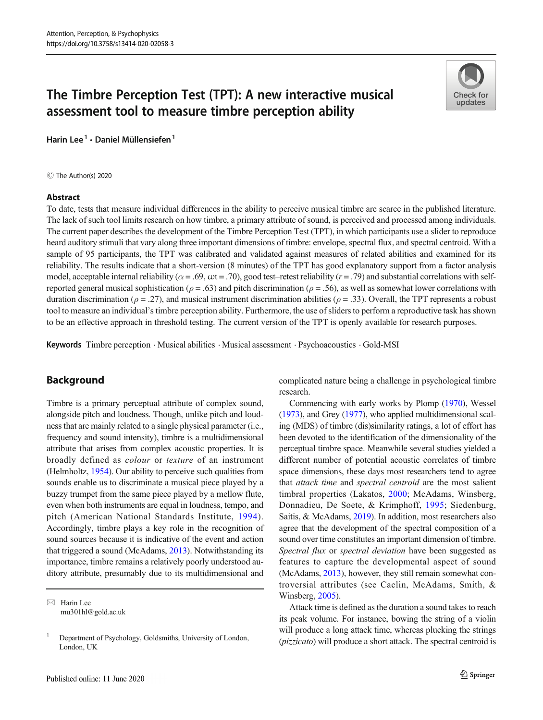# The Timbre Perception Test (TPT): A new interactive musical assessment tool to measure timbre perception ability

Harin Lee<sup>1</sup> · Daniel Müllensiefen<sup>1</sup>

C The Author(s) 2020

#### Abstract



To date, tests that measure individual differences in the ability to perceive musical timbre are scarce in the published literature. The lack of such tool limits research on how timbre, a primary attribute of sound, is perceived and processed among individuals. The current paper describes the development of the Timbre Perception Test (TPT), in which participants use a slider to reproduce heard auditory stimuli that vary along three important dimensions of timbre: envelope, spectral flux, and spectral centroid. With a sample of 95 participants, the TPT was calibrated and validated against measures of related abilities and examined for its reliability. The results indicate that a short-version (8 minutes) of the TPT has good explanatory support from a factor analysis model, acceptable internal reliability ( $\alpha$  = .69,  $\omega$ t = .70), good test–retest reliability ( $r$  = .79) and substantial correlations with selfreported general musical sophistication ( $\rho = .63$ ) and pitch discrimination ( $\rho = .56$ ), as well as somewhat lower correlations with duration discrimination ( $\rho = .27$ ), and musical instrument discrimination abilities ( $\rho = .33$ ). Overall, the TPT represents a robust tool to measure an individual's timbre perception ability. Furthermore, the use of sliders to perform a reproductive task has shown to be an effective approach in threshold testing. The current version of the TPT is openly available for research purposes.

Keywords Timbre perception . Musical abilities . Musical assessment . Psychoacoustics . Gold-MSI

# **Background**

Timbre is a primary perceptual attribute of complex sound, alongside pitch and loudness. Though, unlike pitch and loudness that are mainly related to a single physical parameter (i.e., frequency and sound intensity), timbre is a multidimensional attribute that arises from complex acoustic properties. It is broadly defined as colour or texture of an instrument (Helmholtz, [1954](#page-16-0)). Our ability to perceive such qualities from sounds enable us to discriminate a musical piece played by a buzzy trumpet from the same piece played by a mellow flute, even when both instruments are equal in loudness, tempo, and pitch (American National Standards Institute, [1994\)](#page-15-0). Accordingly, timbre plays a key role in the recognition of sound sources because it is indicative of the event and action that triggered a sound (McAdams, [2013](#page-16-0)). Notwithstanding its importance, timbre remains a relatively poorly understood auditory attribute, presumably due to its multidimensional and complicated nature being a challenge in psychological timbre research.

Commencing with early works by Plomp ([1970](#page-16-0)), Wessel [\(1973\)](#page-17-0), and Grey [\(1977\)](#page-16-0), who applied multidimensional scaling (MDS) of timbre (dis)similarity ratings, a lot of effort has been devoted to the identification of the dimensionality of the perceptual timbre space. Meanwhile several studies yielded a different number of potential acoustic correlates of timbre space dimensions, these days most researchers tend to agree that attack time and spectral centroid are the most salient timbral properties (Lakatos, [2000;](#page-16-0) McAdams, Winsberg, Donnadieu, De Soete, & Krimphoff, [1995;](#page-16-0) Siedenburg, Saitis, & McAdams, [2019](#page-17-0)). In addition, most researchers also agree that the development of the spectral composition of a sound over time constitutes an important dimension of timbre. Spectral flux or spectral deviation have been suggested as features to capture the developmental aspect of sound (McAdams, [2013](#page-16-0)), however, they still remain somewhat controversial attributes (see Caclin, McAdams, Smith, & Winsberg, [2005](#page-16-0)).

Attack time is defined as the duration a sound takes to reach its peak volume. For instance, bowing the string of a violin will produce a long attack time, whereas plucking the strings (pizzicato) will produce a short attack. The spectral centroid is

 $\boxtimes$  Harin Lee [mu301hl@gold.ac.uk](mailto:mu301hl@gold.ac.uk)

<sup>1</sup> Department of Psychology, Goldsmiths, University of London, London, UK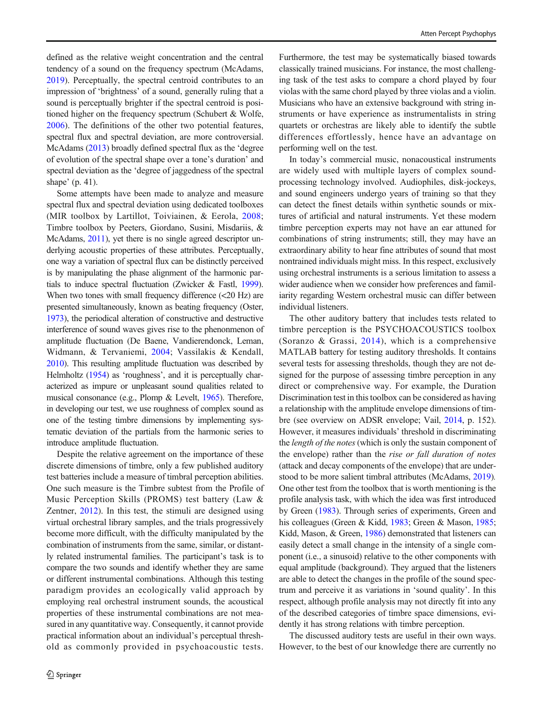defined as the relative weight concentration and the central tendency of a sound on the frequency spectrum (McAdams, [2019\)](#page-16-0). Perceptually, the spectral centroid contributes to an impression of 'brightness' of a sound, generally ruling that a sound is perceptually brighter if the spectral centroid is positioned higher on the frequency spectrum (Schubert & Wolfe, [2006](#page-17-0)). The definitions of the other two potential features, spectral flux and spectral deviation, are more controversial. McAdams [\(2013\)](#page-16-0) broadly defined spectral flux as the 'degree of evolution of the spectral shape over a tone's duration' and spectral deviation as the 'degree of jaggedness of the spectral shape' (p. 41).

Some attempts have been made to analyze and measure spectral flux and spectral deviation using dedicated toolboxes (MIR toolbox by Lartillot, Toiviainen, & Eerola, [2008](#page-16-0); Timbre toolbox by Peeters, Giordano, Susini, Misdariis, & McAdams, [2011](#page-16-0)), yet there is no single agreed descriptor underlying acoustic properties of these attributes. Perceptually, one way a variation of spectral flux can be distinctly perceived is by manipulating the phase alignment of the harmonic partials to induce spectral fluctuation (Zwicker & Fastl, [1999\)](#page-17-0). When two tones with small frequency difference (<20 Hz) are presented simultaneously, known as beating frequency (Oster, [1973](#page-16-0)), the periodical alteration of constructive and destructive interference of sound waves gives rise to the phenonmenon of amplitude fluctuation (De Baene, Vandierendonck, Leman, Widmann, & Tervaniemi, [2004;](#page-16-0) Vassilakis & Kendall, [2010](#page-17-0)). This resulting amplitude fluctuation was described by Helmholtz [\(1954\)](#page-16-0) as 'roughness', and it is perceptually characterized as impure or unpleasant sound qualities related to musical consonance (e.g., Plomp & Levelt, [1965](#page-16-0)). Therefore, in developing our test, we use roughness of complex sound as one of the testing timbre dimensions by implementing systematic deviation of the partials from the harmonic series to introduce amplitude fluctuation.

Despite the relative agreement on the importance of these discrete dimensions of timbre, only a few published auditory test batteries include a measure of timbral perception abilities. One such measure is the Timbre subtest from the Profile of Music Perception Skills (PROMS) test battery (Law & Zentner, [2012\)](#page-16-0). In this test, the stimuli are designed using virtual orchestral library samples, and the trials progressively become more difficult, with the difficulty manipulated by the combination of instruments from the same, similar, or distantly related instrumental families. The participant's task is to compare the two sounds and identify whether they are same or different instrumental combinations. Although this testing paradigm provides an ecologically valid approach by employing real orchestral instrument sounds, the acoustical properties of these instrumental combinations are not measured in any quantitative way. Consequently, it cannot provide practical information about an individual's perceptual threshold as commonly provided in psychoacoustic tests.

Furthermore, the test may be systematically biased towards classically trained musicians. For instance, the most challenging task of the test asks to compare a chord played by four violas with the same chord played by three violas and a violin. Musicians who have an extensive background with string instruments or have experience as instrumentalists in string quartets or orchestras are likely able to identify the subtle differences effortlessly, hence have an advantage on performing well on the test.

In today's commercial music, nonacoustical instruments are widely used with multiple layers of complex soundprocessing technology involved. Audiophiles, disk-jockeys, and sound engineers undergo years of training so that they can detect the finest details within synthetic sounds or mixtures of artificial and natural instruments. Yet these modern timbre perception experts may not have an ear attuned for combinations of string instruments; still, they may have an extraordinary ability to hear fine attributes of sound that most nontrained individuals might miss. In this respect, exclusively using orchestral instruments is a serious limitation to assess a wider audience when we consider how preferences and familiarity regarding Western orchestral music can differ between individual listeners.

The other auditory battery that includes tests related to timbre perception is the PSYCHOACOUSTICS toolbox (Soranzo & Grassi, [2014\)](#page-17-0), which is a comprehensive MATLAB battery for testing auditory thresholds. It contains several tests for assessing thresholds, though they are not designed for the purpose of assessing timbre perception in any direct or comprehensive way. For example, the Duration Discrimination test in this toolbox can be considered as having a relationship with the amplitude envelope dimensions of timbre (see overview on ADSR envelope; Vail, [2014](#page-17-0), p. 152). However, it measures individuals' threshold in discriminating the *length of the notes* (which is only the sustain component of the envelope) rather than the rise or fall duration of notes (attack and decay components of the envelope) that are understood to be more salient timbral attributes (McAdams, [2019\)](#page-16-0). One other test from the toolbox that is worth mentioning is the profile analysis task, with which the idea was first introduced by Green [\(1983\)](#page-16-0). Through series of experiments, Green and his colleagues (Green & Kidd, [1983;](#page-16-0) Green & Mason, [1985;](#page-16-0) Kidd, Mason, & Green, [1986\)](#page-16-0) demonstrated that listeners can easily detect a small change in the intensity of a single component (i.e., a sinusoid) relative to the other components with equal amplitude (background). They argued that the listeners are able to detect the changes in the profile of the sound spectrum and perceive it as variations in 'sound quality'. In this respect, although profile analysis may not directly fit into any of the described categories of timbre space dimensions, evidently it has strong relations with timbre perception.

The discussed auditory tests are useful in their own ways. However, to the best of our knowledge there are currently no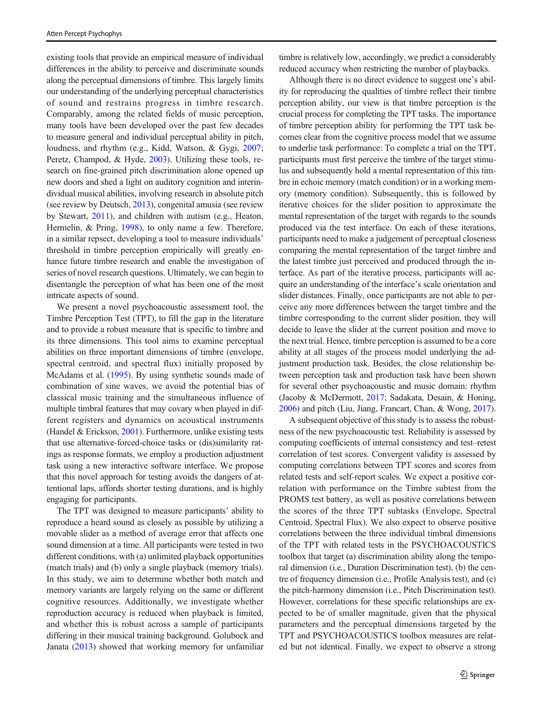existing tools that provide an empirical measure of individual differences in the ability to perceive and discriminate sounds along the perceptual dimensions of timbre. This largely limits our understanding of the underlying perceptual characteristics of sound and restrains progress in timbre research. Comparably, among the related fields of music perception, many tools have been developed over the past few decades to measure general and individual perceptual ability in pitch, loudness, and rhythm (e.g., Kidd, Watson, & Gygi, [2007](#page-16-0); Peretz, Champod, & Hyde, [2003](#page-16-0)). Utilizing these tools, research on fine-grained pitch discrimination alone opened up new doors and shed a light on auditory cognition and interindividual musical abilities, involving research in absolute pitch (see review by Deutsch, [2013](#page-16-0)), congenital amusia (see review by Stewart, [2011](#page-17-0)), and children with autism (e.g., Heaton, Hermelin, & Pring, [1998\)](#page-16-0), to only name a few. Therefore, in a similar repsect, developing a tool to measure individuals' threshold in timbre perception empirically will greatly enhance future timbre research and enable the investigation of series of novel research questions. Ultimately, we can begin to disentangle the perception of what has been one of the most intricate aspects of sound.

We present a novel psychoacoustic assessment tool, the Timbre Perception Test (TPT), to fill the gap in the literature and to provide a robust measure that is specific to timbre and its three dimensions. This tool aims to examine perceptual abilities on three important dimensions of timbre (envelope, spectral centroid, and spectral flux) initially proposed by McAdams et al. ([1995](#page-16-0)). By using synthetic sounds made of combination of sine waves, we avoid the potential bias of classical music training and the simultaneous influence of multiple timbral features that may covary when played in different registers and dynamics on acoustical instruments (Handel & Erickson, [2001\)](#page-16-0). Furthermore, unlike existing tests that use alternative-forced-choice tasks or (dis)similarity ratings as response formats, we employ a production adjustment task using a new interactive software interface. We propose that this novel approach for testing avoids the dangers of attentional laps, affords shorter testing durations, and is highly engaging for participants.

The TPT was designed to measure participants' ability to reproduce a heard sound as closely as possible by utilizing a movable slider as a method of average error that affects one sound dimension at a time. All participants were tested in two different conditions, with (a) unlimited playback opportunities (match trials) and (b) only a single playback (memory trials). In this study, we aim to determine whether both match and memory variants are largely relying on the same or different cognitive resources. Additionally, we investigate whether reproduction accuracy is reduced when playback is limited, and whether this is robust across a sample of participants differing in their musical training background. Golubock and Janata [\(2013\)](#page-16-0) showed that working memory for unfamiliar

timbre is relatively low, accordingly, we predict a considerably reduced accuracy when restricting the number of playbacks.

Although there is no direct evidence to suggest one's ability for reproducing the qualities of timbre reflect their timbre perception ability, our view is that timbre perception is the crucial process for completing the TPT tasks. The importance of timbre perception ability for performing the TPT task becomes clear from the cognitive process model that we assume to underlie task performance: To complete a trial on the TPT, participants must first perceive the timbre of the target stimulus and subsequently hold a mental representation of this timbre in echoic memory (match condition) or in a working memory (memory condition). Subsequently, this is followed by iterative choices for the slider position to approximate the mental representation of the target with regards to the sounds produced via the test interface. On each of these iterations, participants need to make a judgement of perceptual closeness comparing the mental representation of the target timbre and the latest timbre just perceived and produced through the interface. As part of the iterative process, participants will acquire an understanding of the interface's scale orientation and slider distances. Finally, once participants are not able to perceive any more differences between the target timbre and the timbre corresponding to the current slider position, they will decide to leave the slider at the current position and move to the next trial. Hence, timbre perception is assumed to be a core ability at all stages of the process model underlying the adjustment production task. Besides, the close relationship between perception task and production task have been shown for several other psychoacoustic and music domain: rhythm (Jacoby & McDermott, [2017;](#page-16-0) Sadakata, Desain, & Honing, [2006\)](#page-16-0) and pitch (Liu, Jiang, Francart, Chan, & Wong, [2017\)](#page-16-0).

A subsequent objective of this study is to assess the robustness of the new psychoacoustic test. Reliability is assessed by computing coefficients of internal consistency and test–retest correlation of test scores. Convergent validity is assessed by computing correlations between TPT scores and scores from related tests and self-report scales. We expect a positive correlation with performance on the Timbre subtest from the PROMS test battery, as well as positive correlations between the scores of the three TPT subtasks (Envelope, Spectral Centroid, Spectral Flux). We also expect to observe positive correlations between the three individual timbral dimensions of the TPT with related tests in the PSYCHOACOUSTICS toolbox that target (a) discrimination ability along the temporal dimension (i.e., Duration Discrimination test), (b) the centre of frequency dimension (i.e., Profile Analysis test), and (c) the pitch-harmony dimension (i.e., Pitch Discrimination test). However, correlations for these specific relationships are expected to be of smaller magnitude, given that the physical parameters and the perceptual dimensions targeted by the TPT and PSYCHOACOUSTICS toolbox measures are related but not identical. Finally, we expect to observe a strong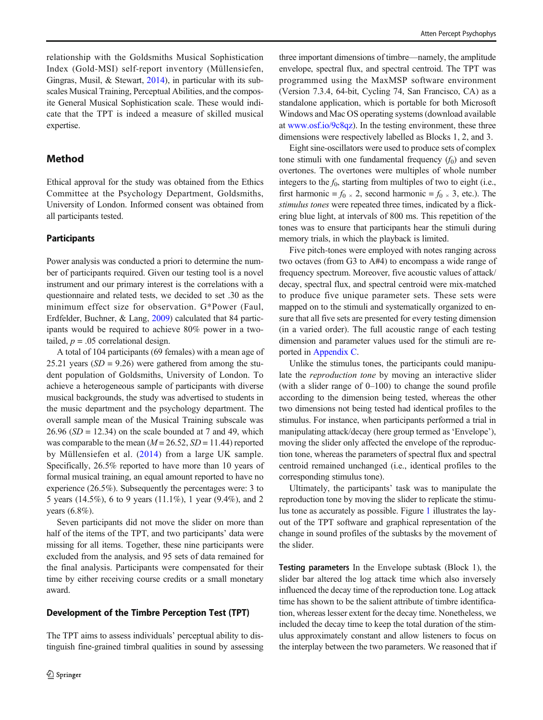relationship with the Goldsmiths Musical Sophistication Index (Gold-MSI) self-report inventory (Müllensiefen, Gingras, Musil, & Stewart, [2014\)](#page-16-0), in particular with its subscales Musical Training, Perceptual Abilities, and the composite General Musical Sophistication scale. These would indicate that the TPT is indeed a measure of skilled musical expertise.

### Method

Ethical approval for the study was obtained from the Ethics Committee at the Psychology Department, Goldsmiths, University of London. Informed consent was obtained from all participants tested.

#### Participants

Power analysis was conducted a priori to determine the number of participants required. Given our testing tool is a novel instrument and our primary interest is the correlations with a questionnaire and related tests, we decided to set .30 as the minimum effect size for observation. G\*Power (Faul, Erdfelder, Buchner, & Lang, [2009](#page-16-0)) calculated that 84 participants would be required to achieve 80% power in a twotailed,  $p = .05$  correlational design.

A total of 104 participants (69 females) with a mean age of 25.21 years  $(SD = 9.26)$  were gathered from among the student population of Goldsmiths, University of London. To achieve a heterogeneous sample of participants with diverse musical backgrounds, the study was advertised to students in the music department and the psychology department. The overall sample mean of the Musical Training subscale was  $26.96$  ( $SD = 12.34$ ) on the scale bounded at 7 and 49, which was comparable to the mean  $(M = 26.52, SD = 11.44)$  reported by Müllensiefen et al. ([2014\)](#page-16-0) from a large UK sample. Specifically, 26.5% reported to have more than 10 years of formal musical training, an equal amount reported to have no experience (26.5%). Subsequently the percentages were: 3 to 5 years (14.5%), 6 to 9 years (11.1%), 1 year (9.4%), and 2 years (6.8%).

Seven participants did not move the slider on more than half of the items of the TPT, and two participants' data were missing for all items. Together, these nine participants were excluded from the analysis, and 95 sets of data remained for the final analysis. Participants were compensated for their time by either receiving course credits or a small monetary award.

## Development of the Timbre Perception Test (TPT)

The TPT aims to assess individuals' perceptual ability to distinguish fine-grained timbral qualities in sound by assessing

three important dimensions of timbre—namely, the amplitude envelope, spectral flux, and spectral centroid. The TPT was programmed using the MaxMSP software environment (Version 7.3.4, 64-bit, Cycling 74, San Francisco, CA) as a standalone application, which is portable for both Microsoft Windows and Mac OS operating systems (download available at [www.osf.io/9c8qz\)](http://creativecommons.org/licenses/by/4.0/). In the testing environment, these three dimensions were respectively labelled as Blocks 1, 2, and 3.

Eight sine-oscillators were used to produce sets of complex tone stimuli with one fundamental frequency  $(f_0)$  and seven overtones. The overtones were multiples of whole number integers to the  $f_0$ , starting from multiples of two to eight (i.e., first harmonic =  $f_0 \times 2$ , second harmonic =  $f_0 \times 3$ , etc.). The stimulus tones were repeated three times, indicated by a flickering blue light, at intervals of 800 ms. This repetition of the tones was to ensure that participants hear the stimuli during memory trials, in which the playback is limited.

Five pitch-tones were employed with notes ranging across two octaves (from G3 to A#4) to encompass a wide range of frequency spectrum. Moreover, five acoustic values of attack/ decay, spectral flux, and spectral centroid were mix-matched to produce five unique parameter sets. These sets were mapped on to the stimuli and systematically organized to ensure that all five sets are presented for every testing dimension (in a varied order). The full acoustic range of each testing dimension and parameter values used for the stimuli are reported in [Appendix C](#page-14-0).

Unlike the stimulus tones, the participants could manipulate the reproduction tone by moving an interactive slider (with a slider range of  $0-100$ ) to change the sound profile according to the dimension being tested, whereas the other two dimensions not being tested had identical profiles to the stimulus. For instance, when participants performed a trial in manipulating attack/decay (here group termed as 'Envelope'), moving the slider only affected the envelope of the reproduction tone, whereas the parameters of spectral flux and spectral centroid remained unchanged (i.e., identical profiles to the corresponding stimulus tone).

Ultimately, the participants' task was to manipulate the reproduction tone by moving the slider to replicate the stimulus tone as accurately as possible. Figure [1](#page-4-0) illustrates the layout of the TPT software and graphical representation of the change in sound profiles of the subtasks by the movement of the slider.

Testing parameters In the Envelope subtask (Block 1), the slider bar altered the log attack time which also inversely influenced the decay time of the reproduction tone. Log attack time has shown to be the salient attribute of timbre identification, whereas lesser extent for the decay time. Nonetheless, we included the decay time to keep the total duration of the stimulus approximately constant and allow listeners to focus on the interplay between the two parameters. We reasoned that if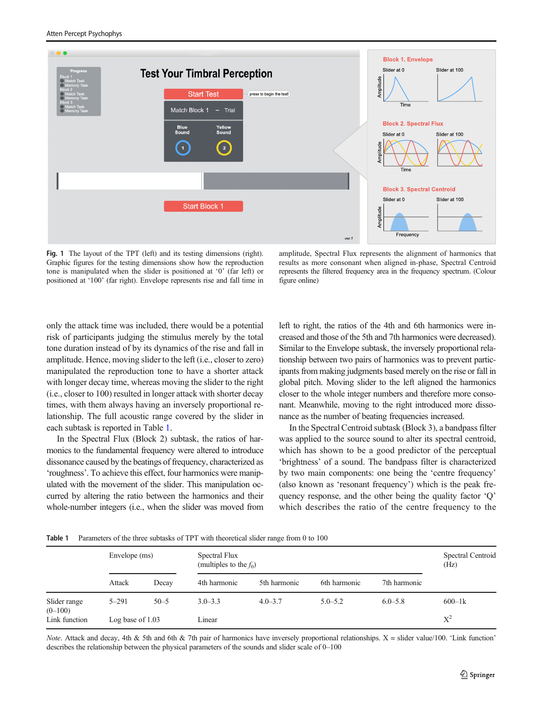<span id="page-4-0"></span>

Fig. 1 The layout of the TPT (left) and its testing dimensions (right). Graphic figures for the testing dimensions show how the reproduction tone is manipulated when the slider is positioned at '0' (far left) or positioned at '100' (far right). Envelope represents rise and fall time in

amplitude, Spectral Flux represents the alignment of harmonics that results as more consonant when aligned in-phase, Spectral Centroid represents the filtered frequency area in the frequency spectrum. (Colour figure online)

only the attack time was included, there would be a potential risk of participants judging the stimulus merely by the total tone duration instead of by its dynamics of the rise and fall in amplitude. Hence, moving slider to the left (i.e., closer to zero) manipulated the reproduction tone to have a shorter attack with longer decay time, whereas moving the slider to the right (i.e., closer to 100) resulted in longer attack with shorter decay times, with them always having an inversely proportional relationship. The full acoustic range covered by the slider in each subtask is reported in Table 1.

In the Spectral Flux (Block 2) subtask, the ratios of harmonics to the fundamental frequency were altered to introduce dissonance caused by the beatings of frequency, characterized as 'roughness'. To achieve this effect, four harmonics were manipulated with the movement of the slider. This manipulation occurred by altering the ratio between the harmonics and their whole-number integers (i.e., when the slider was moved from left to right, the ratios of the 4th and 6th harmonics were increased and those of the 5th and 7th harmonics were decreased). Similar to the Envelope subtask, the inversely proportional relationship between two pairs of harmonics was to prevent participants from making judgments based merely on the rise or fall in global pitch. Moving slider to the left aligned the harmonics closer to the whole integer numbers and therefore more consonant. Meanwhile, moving to the right introduced more dissonance as the number of beating frequencies increased.

In the Spectral Centroid subtask (Block 3), a bandpass filter was applied to the source sound to alter its spectral centroid, which has shown to be a good predictor of the perceptual 'brightness' of a sound. The bandpass filter is characterized by two main components: one being the 'centre frequency' (also known as 'resonant frequency') which is the peak frequency response, and the other being the quality factor 'Q' which describes the ratio of the centre frequency to the

Table 1 Parameters of the three subtasks of TPT with theoretical slider range from 0 to 100

|                           |                    | Envelope (ms) |              | Spectral Flux<br>(multiples to the $f_0$ ) |              |              |            |  |
|---------------------------|--------------------|---------------|--------------|--------------------------------------------|--------------|--------------|------------|--|
|                           | Attack             | Decay         | 4th harmonic | 5th harmonic                               | 6th harmonic | 7th harmonic |            |  |
| Slider range<br>$(0-100)$ | $5 - 291$          | $50 - 5$      | $3.0 - 3.3$  | $4.0 - 3.7$                                | $5.0 - 5.2$  | $6.0 - 5.8$  | $600 - 1k$ |  |
| Link function             | Log base of $1.03$ |               | Linear       |                                            |              |              | $X^2$      |  |

*Note.* Attack and decay, 4th & 5th and 6th & 7th pair of harmonics have inversely proportional relationships.  $X = \text{slide} / 100$ . 'Link function' describes the relationship between the physical parameters of the sounds and slider scale of 0–100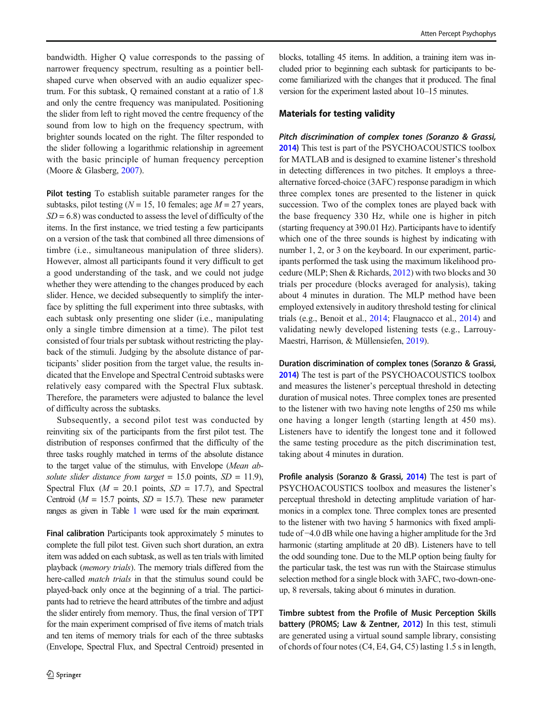bandwidth. Higher Q value corresponds to the passing of narrower frequency spectrum, resulting as a pointier bellshaped curve when observed with an audio equalizer spectrum. For this subtask, Q remained constant at a ratio of 1.8 and only the centre frequency was manipulated. Positioning the slider from left to right moved the centre frequency of the sound from low to high on the frequency spectrum, with brighter sounds located on the right. The filter responded to the slider following a logarithmic relationship in agreement with the basic principle of human frequency perception (Moore & Glasberg, [2007\)](#page-16-0).

Pilot testing To establish suitable parameter ranges for the subtasks, pilot testing ( $N = 15$ , 10 females; age  $M = 27$  years,  $SD = 6.8$ ) was conducted to assess the level of difficulty of the items. In the first instance, we tried testing a few participants on a version of the task that combined all three dimensions of timbre (i.e., simultaneous manipulation of three sliders). However, almost all participants found it very difficult to get a good understanding of the task, and we could not judge whether they were attending to the changes produced by each slider. Hence, we decided subsequently to simplify the interface by splitting the full experiment into three subtasks, with each subtask only presenting one slider (i.e., manipulating only a single timbre dimension at a time). The pilot test consisted of four trials per subtask without restricting the playback of the stimuli. Judging by the absolute distance of participants' slider position from the target value, the results indicated that the Envelope and Spectral Centroid subtasks were relatively easy compared with the Spectral Flux subtask. Therefore, the parameters were adjusted to balance the level of difficulty across the subtasks.

Subsequently, a second pilot test was conducted by reinviting six of the participants from the first pilot test. The distribution of responses confirmed that the difficulty of the three tasks roughly matched in terms of the absolute distance to the target value of the stimulus, with Envelope (Mean absolute slider distance from target =  $15.0$  points,  $SD = 11.9$ ), Spectral Flux ( $M = 20.1$  points,  $SD = 17.7$ ), and Spectral Centroid ( $M = 15.7$  points,  $SD = 15.7$ ). These new parameter ranges as given in Table [1](#page-4-0) were used for the main experiment.

Final calibration Participants took approximately 5 minutes to complete the full pilot test. Given such short duration, an extra item was added on each subtask, as well as ten trials with limited playback (memory trials). The memory trials differed from the here-called *match trials* in that the stimulus sound could be played-back only once at the beginning of a trial. The participants had to retrieve the heard attributes of the timbre and adjust the slider entirely from memory. Thus, the final version of TPT for the main experiment comprised of five items of match trials and ten items of memory trials for each of the three subtasks (Envelope, Spectral Flux, and Spectral Centroid) presented in

blocks, totalling 45 items. In addition, a training item was included prior to beginning each subtask for participants to become familiarized with the changes that it produced. The final version for the experiment lasted about 10–15 minutes.

#### Materials for testing validity

Pitch discrimination of complex tones (Soranzo & Grassi, [2014](#page-17-0)) This test is part of the PSYCHOACOUSTICS toolbox for MATLAB and is designed to examine listener's threshold in detecting differences in two pitches. It employs a threealternative forced-choice (3AFC) response paradigm in which three complex tones are presented to the listener in quick succession. Two of the complex tones are played back with the base frequency 330 Hz, while one is higher in pitch (starting frequency at 390.01 Hz). Participants have to identify which one of the three sounds is highest by indicating with number 1, 2, or 3 on the keyboard. In our experiment, participants performed the task using the maximum likelihood procedure (MLP; Shen & Richards, [2012\)](#page-17-0) with two blocks and 30 trials per procedure (blocks averaged for analysis), taking about 4 minutes in duration. The MLP method have been employed extensively in auditory threshold testing for clinical trials (e.g., Benoit et al., [2014](#page-16-0); Flaugnacco et al., [2014\)](#page-16-0) and validating newly developed listening tests (e.g., Larrouy-Maestri, Harrison, & Müllensiefen, [2019](#page-16-0)).

Duration discrimination of complex tones (Soranzo & Grassi, [2014](#page-17-0)) The test is part of the PSYCHOACOUSTICS toolbox and measures the listener's perceptual threshold in detecting duration of musical notes. Three complex tones are presented to the listener with two having note lengths of 250 ms while one having a longer length (starting length at 450 ms). Listeners have to identify the longest tone and it followed the same testing procedure as the pitch discrimination test, taking about 4 minutes in duration.

Profile analysis (Soranzo & Grassi, [2014](#page-17-0)) The test is part of PSYCHOACOUSTICS toolbox and measures the listener's perceptual threshold in detecting amplitude variation of harmonics in a complex tone. Three complex tones are presented to the listener with two having 5 harmonics with fixed amplitude of −4.0 dB while one having a higher amplitude for the 3rd harmonic (starting amplitude at 20 dB). Listeners have to tell the odd sounding tone. Due to the MLP option being faulty for the particular task, the test was run with the Staircase stimulus selection method for a single block with 3AFC, two-down-oneup, 8 reversals, taking about 6 minutes in duration.

Timbre subtest from the Profile of Music Perception Skills battery (PROMS; Law & Zentner, [2012](#page-16-0)) In this test, stimuli are generated using a virtual sound sample library, consisting of chords of four notes (C4, E4, G4, C5) lasting 1.5 s in length,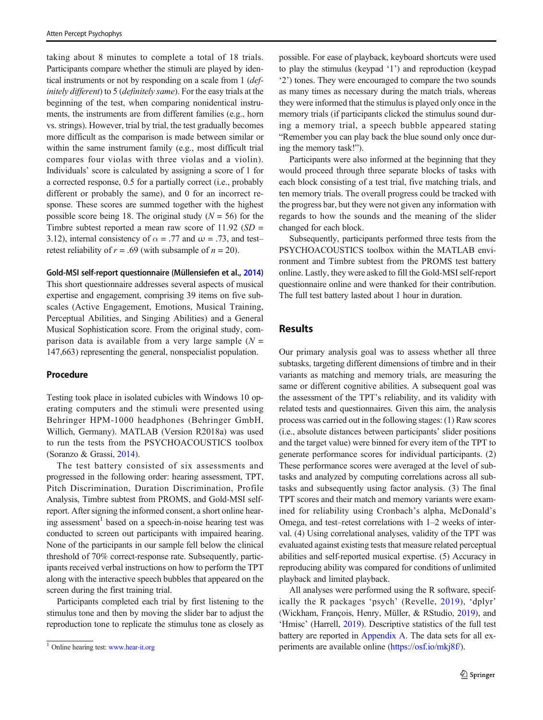taking about 8 minutes to complete a total of 18 trials. Participants compare whether the stimuli are played by identical instruments or not by responding on a scale from 1 (definitely different) to 5 (definitely same). For the easy trials at the beginning of the test, when comparing nonidentical instruments, the instruments are from different families (e.g., horn vs. strings). However, trial by trial, the test gradually becomes more difficult as the comparison is made between similar or within the same instrument family (e.g., most difficult trial compares four violas with three violas and a violin). Individuals' score is calculated by assigning a score of 1 for a corrected response, 0.5 for a partially correct (i.e., probably different or probably the same), and 0 for an incorrect response. These scores are summed together with the highest possible score being 18. The original study ( $N = 56$ ) for the Timbre subtest reported a mean raw score of  $11.92$  (SD = 3.12), internal consistency of  $\alpha = .77$  and  $\omega = .73$ , and test– retest reliability of  $r = .69$  (with subsample of  $n = 20$ ).

Gold-MSI self-report questionnaire (Müllensiefen et al., [2014](#page-16-0))

This short questionnaire addresses several aspects of musical expertise and engagement, comprising 39 items on five subscales (Active Engagement, Emotions, Musical Training, Perceptual Abilities, and Singing Abilities) and a General Musical Sophistication score. From the original study, comparison data is available from a very large sample  $(N =$ 147,663) representing the general, nonspecialist population.

#### Procedure

Testing took place in isolated cubicles with Windows 10 operating computers and the stimuli were presented using Behringer HPM-1000 headphones (Behringer GmbH, Willich, Germany). MATLAB (Version R2018a) was used to run the tests from the PSYCHOACOUSTICS toolbox (Soranzo & Grassi, [2014](#page-17-0)).

The test battery consisted of six assessments and progressed in the following order: hearing assessment, TPT, Pitch Discrimination, Duration Discrimination, Profile Analysis, Timbre subtest from PROMS, and Gold-MSI selfreport. After signing the informed consent, a short online hearing assessment<sup>1</sup> based on a speech-in-noise hearing test was conducted to screen out participants with impaired hearing. None of the participants in our sample fell below the clinical threshold of 70% correct-response rate. Subsequently, participants received verbal instructions on how to perform the TPT along with the interactive speech bubbles that appeared on the screen during the first training trial.

Participants completed each trial by first listening to the stimulus tone and then by moving the slider bar to adjust the reproduction tone to replicate the stimulus tone as closely as

possible. For ease of playback, keyboard shortcuts were used to play the stimulus (keypad '1') and reproduction (keypad '2') tones. They were encouraged to compare the two sounds as many times as necessary during the match trials, whereas they were informed that the stimulus is played only once in the memory trials (if participants clicked the stimulus sound during a memory trial, a speech bubble appeared stating "Remember you can play back the blue sound only once during the memory task!").

Participants were also informed at the beginning that they would proceed through three separate blocks of tasks with each block consisting of a test trial, five matching trials, and ten memory trials. The overall progress could be tracked with the progress bar, but they were not given any information with regards to how the sounds and the meaning of the slider changed for each block.

Subsequently, participants performed three tests from the PSYCHOACOUSTICS toolbox within the MATLAB environment and Timbre subtest from the PROMS test battery online. Lastly, they were asked to fill the Gold-MSI self-report questionnaire online and were thanked for their contribution. The full test battery lasted about 1 hour in duration.

### Results

Our primary analysis goal was to assess whether all three subtasks, targeting different dimensions of timbre and in their variants as matching and memory trials, are measuring the same or different cognitive abilities. A subsequent goal was the assessment of the TPT's reliability, and its validity with related tests and questionnaires. Given this aim, the analysis process was carried out in the following stages: (1) Raw scores (i.e., absolute distances between participants' slider positions and the target value) were binned for every item of the TPT to generate performance scores for individual participants. (2) These performance scores were averaged at the level of subtasks and analyzed by computing correlations across all subtasks and subsequently using factor analysis. (3) The final TPT scores and their match and memory variants were examined for reliability using Cronbach's alpha, McDonald's Omega, and test–retest correlations with 1–2 weeks of interval. (4) Using correlational analyses, validity of the TPT was evaluated against existing tests that measure related perceptual abilities and self-reported musical expertise. (5) Accuracy in reproducing ability was compared for conditions of unlimited playback and limited playback.

All analyses were performed using the R software, specifically the R packages 'psych' (Revelle, [2019\)](#page-16-0), 'dplyr' (Wickham, François, Henry, Müller, & RStudio, [2019](#page-17-0)), and 'Hmisc' (Harrell, [2019](#page-16-0)). Descriptive statistics of the full test battery are reported in [Appendix A.](#page-13-0) The data sets for all ex-<sup>1</sup> Online hearing test: www.hear-it.org periments are available online [\(https://osf.io/mkj8f/](http://creativecommons.org/licenses/by/4.0/)).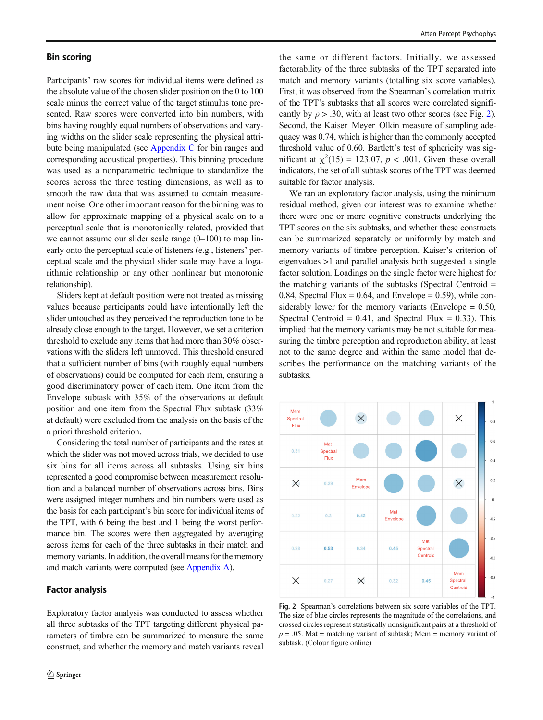#### Bin scoring

Participants' raw scores for individual items were defined as the absolute value of the chosen slider position on the 0 to 100 scale minus the correct value of the target stimulus tone presented. Raw scores were converted into bin numbers, with bins having roughly equal numbers of observations and varying widths on the slider scale representing the physical attribute being manipulated (see [Appendix C](#page-14-0) for bin ranges and corresponding acoustical properties). This binning procedure was used as a nonparametric technique to standardize the scores across the three testing dimensions, as well as to smooth the raw data that was assumed to contain measurement noise. One other important reason for the binning was to allow for approximate mapping of a physical scale on to a perceptual scale that is monotonically related, provided that we cannot assume our slider scale range  $(0-100)$  to map linearly onto the perceptual scale of listeners (e.g., listeners' perceptual scale and the physical slider scale may have a logarithmic relationship or any other nonlinear but monotonic relationship).

Sliders kept at default position were not treated as missing values because participants could have intentionally left the slider untouched as they perceived the reproduction tone to be already close enough to the target. However, we set a criterion threshold to exclude any items that had more than 30% observations with the sliders left unmoved. This threshold ensured that a sufficient number of bins (with roughly equal numbers of observations) could be computed for each item, ensuring a good discriminatory power of each item. One item from the Envelope subtask with 35% of the observations at default position and one item from the Spectral Flux subtask (33% at default) were excluded from the analysis on the basis of the a priori threshold criterion.

Considering the total number of participants and the rates at which the slider was not moved across trials, we decided to use six bins for all items across all subtasks. Using six bins represented a good compromise between measurement resolution and a balanced number of observations across bins. Bins were assigned integer numbers and bin numbers were used as the basis for each participant's bin score for individual items of the TPT, with 6 being the best and 1 being the worst performance bin. The scores were then aggregated by averaging across items for each of the three subtasks in their match and memory variants. In addition, the overall means for the memory and match variants were computed (see [Appendix A\)](#page-13-0).

#### Factor analysis

Exploratory factor analysis was conducted to assess whether all three subtasks of the TPT targeting different physical parameters of timbre can be summarized to measure the same construct, and whether the memory and match variants reveal

the same or different factors. Initially, we assessed factorability of the three subtasks of the TPT separated into match and memory variants (totalling six score variables). First, it was observed from the Spearman's correlation matrix of the TPT's subtasks that all scores were correlated significantly by  $\rho > .30$ , with at least two other scores (see Fig. 2). Second, the Kaiser–Meyer–Olkin measure of sampling adequacy was 0.74, which is higher than the commonly accepted threshold value of 0.60. Bartlett's test of sphericity was significant at  $\chi^2(15) = 123.07$ ,  $p < .001$ . Given these overall indicators, the set of all subtask scores of the TPT was deemed suitable for factor analysis.

We ran an exploratory factor analysis, using the minimum residual method, given our interest was to examine whether there were one or more cognitive constructs underlying the TPT scores on the six subtasks, and whether these constructs can be summarized separately or uniformly by match and memory variants of timbre perception. Kaiser's criterion of eigenvalues >1 and parallel analysis both suggested a single factor solution. Loadings on the single factor were highest for the matching variants of the subtasks (Spectral Centroid = 0.84, Spectral Flux =  $0.64$ , and Envelope = 0.59), while considerably lower for the memory variants (Envelope  $= 0.50$ , Spectral Centroid =  $0.41$ , and Spectral Flux =  $0.33$ ). This implied that the memory variants may be not suitable for measuring the timbre perception and reproduction ability, at least not to the same degree and within the same model that describes the performance on the matching variants of the subtasks.



Fig. 2 Spearman's correlations between six score variables of the TPT. The size of blue circles represents the magnitude of the correlations, and crossed circles represent statistically nonsignificant pairs at a threshold of  $p = .05$ . Mat = matching variant of subtask; Mem = memory variant of subtask. (Colour figure online)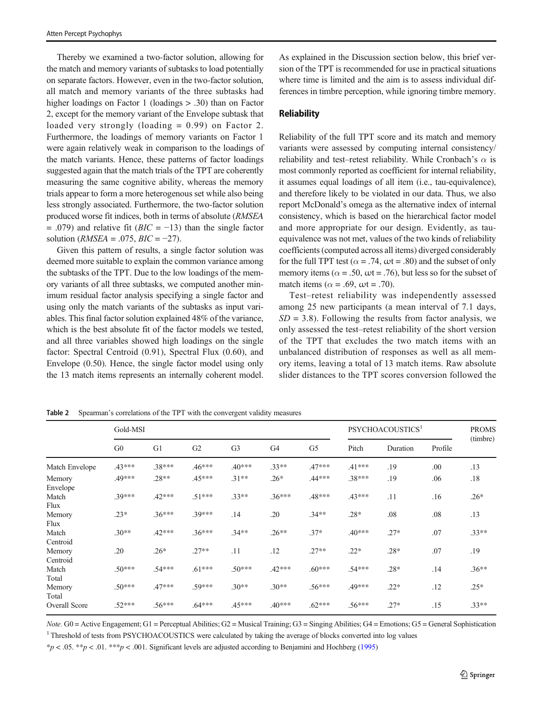<span id="page-8-0"></span>Thereby we examined a two-factor solution, allowing for the match and memory variants of subtasks to load potentially on separate factors. However, even in the two-factor solution, all match and memory variants of the three subtasks had higher loadings on Factor 1 (loadings  $> .30$ ) than on Factor 2, except for the memory variant of the Envelope subtask that loaded very strongly (loading  $= 0.99$ ) on Factor 2. Furthermore, the loadings of memory variants on Factor 1 were again relatively weak in comparison to the loadings of the match variants. Hence, these patterns of factor loadings suggested again that the match trials of the TPT are coherently measuring the same cognitive ability, whereas the memory trials appear to form a more heterogenous set while also being less strongly associated. Furthermore, the two-factor solution produced worse fit indices, both in terms of absolute (RMSEA  $= .079$ ) and relative fit ( $BIC = -13$ ) than the single factor solution ( $RMSEA = .075$ ,  $BIC = -27$ ).

Given this pattern of results, a single factor solution was deemed more suitable to explain the common variance among the subtasks of the TPT. Due to the low loadings of the memory variants of all three subtasks, we computed another minimum residual factor analysis specifying a single factor and using only the match variants of the subtasks as input variables. This final factor solution explained 48% of the variance, which is the best absolute fit of the factor models we tested. and all three variables showed high loadings on the single factor: Spectral Centroid (0.91), Spectral Flux (0.60), and Envelope (0.50). Hence, the single factor model using only the 13 match items represents an internally coherent model.

As explained in the Discussion section below, this brief version of the TPT is recommended for use in practical situations where time is limited and the aim is to assess individual differences in timbre perception, while ignoring timbre memory.

#### Reliability

Reliability of the full TPT score and its match and memory variants were assessed by computing internal consistency/ reliability and test–retest reliability. While Cronbach's  $\alpha$  is most commonly reported as coefficient for internal reliability, it assumes equal loadings of all item (i.e., tau-equivalence), and therefore likely to be violated in our data. Thus, we also report McDonald's omega as the alternative index of internal consistency, which is based on the hierarchical factor model and more appropriate for our design. Evidently, as tauequivalence was not met, values of the two kinds of reliability coefficients (computed across all items) diverged considerably for the full TPT test ( $\alpha$  = .74,  $\omega$ t = .80) and the subset of only memory items ( $\alpha$  = .50,  $\omega$ t = .76), but less so for the subset of match items ( $\alpha$  = .69,  $\omega$ t = .70).

Test–retest reliability was independently assessed among 25 new participants (a mean interval of 7.1 days,  $SD = 3.8$ ). Following the results from factor analysis, we only assessed the test–retest reliability of the short version of the TPT that excludes the two match items with an unbalanced distribution of responses as well as all memory items, leaving a total of 13 match items. Raw absolute slider distances to the TPT scores conversion followed the

|                | Gold-MSI       |          |          |                |                |                | PSYCHOACOUSTICS <sup>1</sup> |          |         | <b>PROMS</b> |
|----------------|----------------|----------|----------|----------------|----------------|----------------|------------------------------|----------|---------|--------------|
|                | G <sub>0</sub> | G1       | G2       | G <sub>3</sub> | G <sub>4</sub> | G <sub>5</sub> | Pitch                        | Duration | Profile | (timbre)     |
| Match Envelope | $.43***$       | $.38***$ | $.46***$ | $.40***$       | $.33**$        | $.47***$       | $.41***$                     | .19      | .00     | .13          |
| Memory         | .49***         | $.28**$  | $.45***$ | $.31**$        | $.26*$         | .44***         | .38***                       | .19      | .06     | .18          |
| Envelope       |                |          |          |                |                |                |                              |          |         |              |
| Match          | $.39***$       | $.42***$ | $.51***$ | $.33**$        | $.36***$       | .48***         | $.43***$                     | .11      | .16     | $.26*$       |
| Flux           |                |          |          |                |                |                |                              |          |         |              |
| Memory         | $.23*$         | $.36***$ | 39***    | .14            | .20            | $.34**$        | $.28*$                       | .08      | .08     | .13          |
| Flux           |                |          |          |                |                |                |                              |          |         |              |
| Match          | $.30**$        | $.42***$ | $.36***$ | $.34**$        | $.26**$        | $.37*$         | $.40***$                     | $.27*$   | .07     | $.33**$      |
| Centroid       |                |          |          |                |                |                |                              |          |         |              |
| Memory         | .20            | $.26*$   | $.27**$  | .11            | .12            | $.27**$        | $.22*$                       | $.28*$   | .07     | .19          |
| Centroid       |                |          |          |                |                |                |                              |          |         |              |
| Match          | $.50***$       | $.54***$ | $.61***$ | $.50***$       | $.42***$       | $.60***$       | $.54***$                     | $.28*$   | .14     | $.36**$      |
| Total          |                |          |          |                |                |                |                              |          |         |              |
| Memory         | $.50***$       | $.47***$ | .59***   | $.30**$        | $.30**$        | $.56***$       | .49***                       | $.22*$   | .12     | $.25*$       |
| Total          |                |          |          |                |                |                |                              |          |         |              |
| Overall Score  | $.52***$       | $.56***$ | $.64***$ | .45***         | $.40***$       | $.62***$       | $.56***$                     | $.27*$   | .15     | $.33**$      |

Table 2 Spearman's correlations of the TPT with the convergent validity measures

Note. G0 = Active Engagement; G1 = Perceptual Abilities; G2 = Musical Training; G3 = Singing Abilities; G4 = Emotions; G5 = General Sophistication

<sup>1</sup> Threshold of tests from PSYCHOACOUSTICS were calculated by taking the average of blocks converted into log values

 $*p < .05. **p < .01. **p < .001.$  Significant levels are adjusted according to Benjamini and Hochberg [\(1995\)](#page-15-0)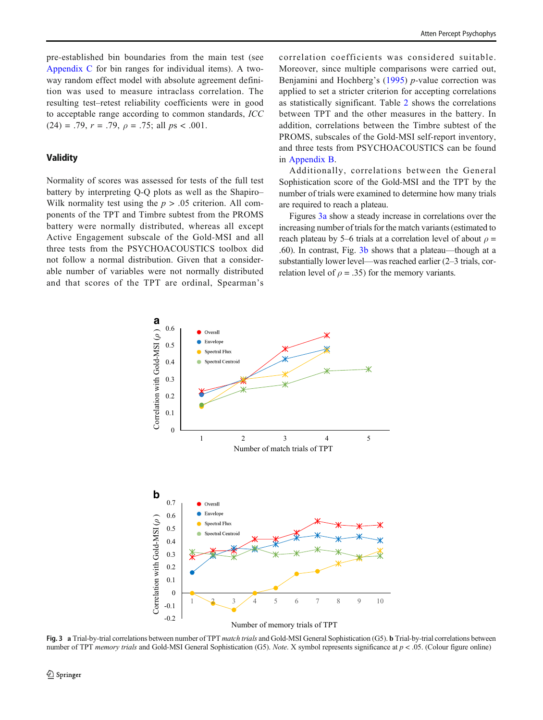pre-established bin boundaries from the main test (see [Appendix C](#page-14-0) for bin ranges for individual items). A twoway random effect model with absolute agreement definition was used to measure intraclass correlation. The resulting test–retest reliability coefficients were in good to acceptable range according to common standards, ICC  $(24) = .79, r = .79, \rho = .75; \text{ all } ps < .001.$ 

#### Validity

Normality of scores was assessed for tests of the full test battery by interpreting Q-Q plots as well as the Shapiro– Wilk normality test using the  $p > .05$  criterion. All components of the TPT and Timbre subtest from the PROMS battery were normally distributed, whereas all except Active Engagement subscale of the Gold-MSI and all three tests from the PSYCHOACOUSTICS toolbox did not follow a normal distribution. Given that a considerable number of variables were not normally distributed and that scores of the TPT are ordinal, Spearman's correlation coefficients was considered suitable. Moreover, since multiple comparisons were carried out, Benjamini and Hochberg's  $(1995)$  $(1995)$  *p*-value correction was applied to set a stricter criterion for accepting correlations as statistically significant. Table [2](#page-8-0) shows the correlations between TPT and the other measures in the battery. In addition, correlations between the Timbre subtest of the PROMS, subscales of the Gold-MSI self-report inventory, and three tests from PSYCHOACOUSTICS can be found in [Appendix B.](#page-14-0)

Additionally, correlations between the General Sophistication score of the Gold-MSI and the TPT by the number of trials were examined to determine how many trials are required to reach a plateau.

Figures 3a show a steady increase in correlations over the increasing number of trials for the match variants (estimated to reach plateau by 5–6 trials at a correlation level of about  $\rho =$ .60). In contrast, Fig. 3b shows that a plateau—though at a substantially lower level—was reached earlier (2–3 trials, correlation level of  $\rho = .35$ ) for the memory variants.



Fig. 3 a Trial-by-trial correlations between number of TPT match trials and Gold-MSI General Sophistication (G5). b Trial-by-trial correlations between number of TPT *memory trials* and Gold-MSI General Sophistication (G5). Note. X symbol represents significance at  $p < .05$ . (Colour figure online)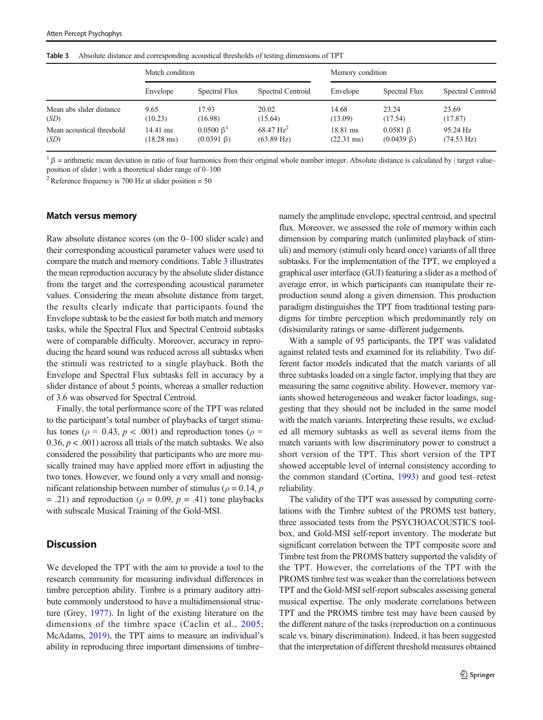|                           | Match condition      |                      |                      | Memory condition     |                   |                      |
|---------------------------|----------------------|----------------------|----------------------|----------------------|-------------------|----------------------|
|                           | Envelope             | Spectral Flux        | Spectral Centroid    | Envelope             | Spectral Flux     | Spectral Centroid    |
| Mean abs slider distance  | 9.65                 | 17.93                | 20.02                | 14.68                | 23.24             | 23.69                |
| (SD)                      | (10.23)              | (16.98)              | (15.64)              | (13.09)              | (17.54)           | (17.87)              |
| Mean acoustical threshold | 14.41 ms             | $0.0500 \ \beta^{1}$ | $68.47 \text{ Hz}^2$ | $18.81$ ms           | $0.0581 \; \beta$ | 95.24 Hz             |
| (SD)                      | $(18.28 \text{ ms})$ | $(0.0391 \, \beta)$  | $(63.89 \text{ Hz})$ | $(22.31 \text{ ms})$ | $(0.0439 \beta)$  | $(74.53 \text{ Hz})$ |

<span id="page-10-0"></span>Table 3 Absolute distance and corresponding acoustical thresholds of testing dimensions of TPT

 $1\beta$  = arithmetic mean deviation in ratio of four harmonics from their original whole number integer. Absolute distance is calculated by | target value– position of slider | with a theoretical slider range of 0–100

<sup>2</sup> Reference frequency is 700 Hz at slider position = 50

#### Match versus memory

Raw absolute distance scores (on the 0–100 slider scale) and their corresponding acoustical parameter values were used to compare the match and memory conditions. Table 3 illustrates the mean reproduction accuracy by the absolute slider distance from the target and the corresponding acoustical parameter values. Considering the mean absolute distance from target, the results clearly indicate that participants found the Envelope subtask to be the easiest for both match and memory tasks, while the Spectral Flux and Spectral Centroid subtasks were of comparable difficulty. Moreover, accuracy in reproducing the heard sound was reduced across all subtasks when the stimuli was restricted to a single playback. Both the Envelope and Spectral Flux subtasks fell in accuracy by a slider distance of about 5 points, whereas a smaller reduction of 3.6 was observed for Spectral Centroid.

Finally, the total performance score of the TPT was related to the participant's total number of playbacks of target stimulus tones ( $\rho = 0.43$ ,  $p < .001$ ) and reproduction tones ( $\rho =$ 0.36,  $p < .001$ ) across all trials of the match subtasks. We also considered the possibility that participants who are more musically trained may have applied more effort in adjusting the two tones. However, we found only a very small and nonsignificant relationship between number of stimulus ( $\rho = 0.14$ , p = .21) and reproduction ( $\rho$  = 0.09,  $p$  = .41) tone playbacks with subscale Musical Training of the Gold-MSI.

#### **Discussion**

We developed the TPT with the aim to provide a tool to the research community for measuring individual differences in timbre perception ability. Timbre is a primary auditory attribute commonly understood to have a multidimensional structure (Grey, [1977\)](#page-16-0). In light of the existing literature on the dimensions of the timbre space (Caclin et al., [2005](#page-16-0); McAdams, [2019](#page-16-0)), the TPT aims to measure an individual's ability in reproducing three important dimensions of timbre–

namely the amplitude envelope, spectral centroid, and spectral flux. Moreover, we assessed the role of memory within each dimension by comparing match (unlimited playback of stimuli) and memory (stimuli only heard once) variants of all three subtasks. For the implementation of the TPT, we employed a graphical user interface (GUI) featuring a slider as a method of average error, in which participants can manipulate their reproduction sound along a given dimension. This production paradigm distinguishes the TPT from traditional testing paradigms for timbre perception which predominantly rely on (dis)similarity ratings or same–different judgements.

With a sample of 95 participants, the TPT was validated against related tests and examined for its reliability. Two different factor models indicated that the match variants of all three subtasks loaded on a single factor, implying that they are measuring the same cognitive ability. However, memory variants showed heterogeneous and weaker factor loadings, suggesting that they should not be included in the same model with the match variants. Interpreting these results, we excluded all memory subtasks as well as several items from the match variants with low discriminatory power to construct a short version of the TPT. This short version of the TPT showed acceptable level of internal consistency according to the common standard (Cortina, [1993](#page-16-0)) and good test–retest reliability.

The validity of the TPT was assessed by computing correlations with the Timbre subtest of the PROMS test battery, three associated tests from the PSYCHOACOUSTICS toolbox, and Gold-MSI self-report inventory. The moderate but significant correlation between the TPT composite score and Timbre test from the PROMS battery supported the validity of the TPT. However, the correlations of the TPT with the PROMS timbre test was weaker than the correlations between TPT and the Gold-MSI self-report subscales assessing general musical expertise. The only moderate correlations between TPT and the PROMS timbre test may have been caused by the different nature of the tasks (reproduction on a continuous scale vs. binary discrimination). Indeed, it has been suggested that the interpretation of different threshold measures obtained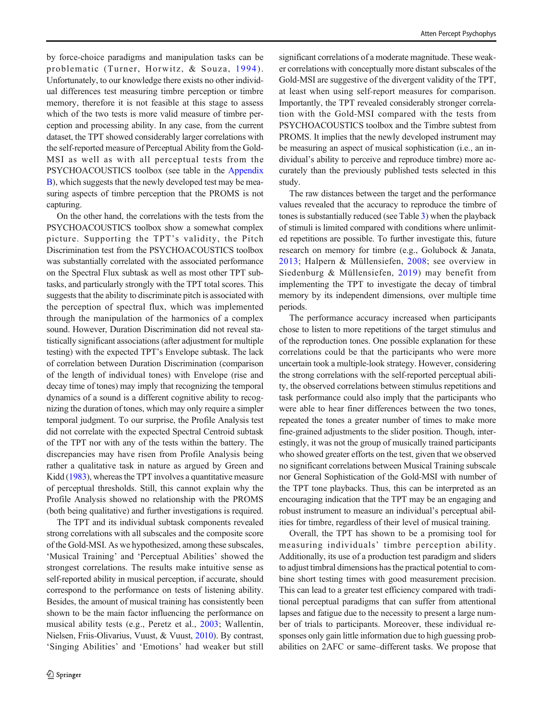by force-choice paradigms and manipulation tasks can be problematic (Turner, Horwitz, & Souza, [1994](#page-17-0)). Unfortunately, to our knowledge there exists no other individual differences test measuring timbre perception or timbre memory, therefore it is not feasible at this stage to assess which of the two tests is more valid measure of timbre perception and processing ability. In any case, from the current dataset, the TPT showed considerably larger correlations with the self-reported measure of Perceptual Ability from the Gold-MSI as well as with all perceptual tests from the PSYCHOACOUSTICS toolbox (see table in the [Appendix](#page-14-0) [B\)](#page-14-0), which suggests that the newly developed test may be measuring aspects of timbre perception that the PROMS is not capturing.

On the other hand, the correlations with the tests from the PSYCHOACOUSTICS toolbox show a somewhat complex picture. Supporting the TPT's validity, the Pitch Discrimination test from the PSYCHOACOUSTICS toolbox was substantially correlated with the associated performance on the Spectral Flux subtask as well as most other TPT subtasks, and particularly strongly with the TPT total scores. This suggests that the ability to discriminate pitch is associated with the perception of spectral flux, which was implemented through the manipulation of the harmonics of a complex sound. However, Duration Discrimination did not reveal statistically significant associations (after adjustment for multiple testing) with the expected TPT's Envelope subtask. The lack of correlation between Duration Discrimination (comparison of the length of individual tones) with Envelope (rise and decay time of tones) may imply that recognizing the temporal dynamics of a sound is a different cognitive ability to recognizing the duration of tones, which may only require a simpler temporal judgment. To our surprise, the Profile Analysis test did not correlate with the expected Spectral Centroid subtask of the TPT nor with any of the tests within the battery. The discrepancies may have risen from Profile Analysis being rather a qualitative task in nature as argued by Green and Kidd ([1983](#page-16-0)), whereas the TPT involves a quantitative measure of perceptual thresholds. Still, this cannot explain why the Profile Analysis showed no relationship with the PROMS (both being qualitative) and further investigations is required.

The TPT and its individual subtask components revealed strong correlations with all subscales and the composite score of the Gold-MSI. As we hypothesized, among these subscales, 'Musical Training' and 'Perceptual Abilities' showed the strongest correlations. The results make intuitive sense as self-reported ability in musical perception, if accurate, should correspond to the performance on tests of listening ability. Besides, the amount of musical training has consistently been shown to be the main factor influencing the performance on musical ability tests (e.g., Peretz et al., [2003;](#page-16-0) Wallentin, Nielsen, Friis-Olivarius, Vuust, & Vuust, [2010\)](#page-17-0). By contrast, 'Singing Abilities' and 'Emotions' had weaker but still significant correlations of a moderate magnitude. These weaker correlations with conceptually more distant subscales of the Gold-MSI are suggestive of the divergent validity of the TPT, at least when using self-report measures for comparison. Importantly, the TPT revealed considerably stronger correlation with the Gold-MSI compared with the tests from PSYCHOACOUSTICS toolbox and the Timbre subtest from PROMS. It implies that the newly developed instrument may be measuring an aspect of musical sophistication (i.e., an individual's ability to perceive and reproduce timbre) more accurately than the previously published tests selected in this study.

The raw distances between the target and the performance values revealed that the accuracy to reproduce the timbre of tones is substantially reduced (see Table [3\)](#page-10-0) when the playback of stimuli is limited compared with conditions where unlimited repetitions are possible. To further investigate this, future research on memory for timbre (e.g., Golubock & Janata, [2013](#page-16-0); Halpern & Müllensiefen, [2008](#page-16-0); see overview in Siedenburg & Müllensiefen, [2019\)](#page-17-0) may benefit from implementing the TPT to investigate the decay of timbral memory by its independent dimensions, over multiple time periods.

The performance accuracy increased when participants chose to listen to more repetitions of the target stimulus and of the reproduction tones. One possible explanation for these correlations could be that the participants who were more uncertain took a multiple-look strategy. However, considering the strong correlations with the self-reported perceptual ability, the observed correlations between stimulus repetitions and task performance could also imply that the participants who were able to hear finer differences between the two tones, repeated the tones a greater number of times to make more fine-grained adjustments to the slider position. Though, interestingly, it was not the group of musically trained participants who showed greater efforts on the test, given that we observed no significant correlations between Musical Training subscale nor General Sophistication of the Gold-MSI with number of the TPT tone playbacks. Thus, this can be interpreted as an encouraging indication that the TPT may be an engaging and robust instrument to measure an individual's perceptual abilities for timbre, regardless of their level of musical training.

Overall, the TPT has shown to be a promising tool for measuring individuals' timbre perception ability. Additionally, its use of a production test paradigm and sliders to adjust timbral dimensions has the practical potential to combine short testing times with good measurement precision. This can lead to a greater test efficiency compared with traditional perceptual paradigms that can suffer from attentional lapses and fatigue due to the necessity to present a large number of trials to participants. Moreover, these individual responses only gain little information due to high guessing probabilities on 2AFC or same–different tasks. We propose that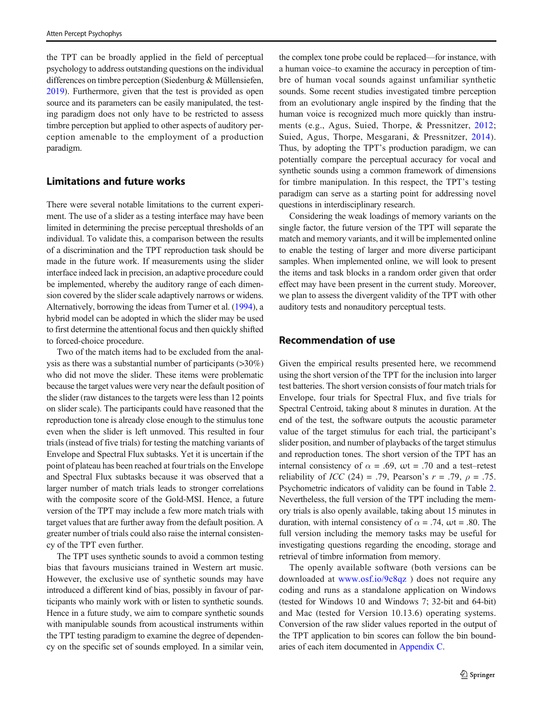the TPT can be broadly applied in the field of perceptual psychology to address outstanding questions on the individual differences on timbre perception (Siedenburg & Müllensiefen, [2019\)](#page-17-0). Furthermore, given that the test is provided as open source and its parameters can be easily manipulated, the testing paradigm does not only have to be restricted to assess timbre perception but applied to other aspects of auditory perception amenable to the employment of a production paradigm.

### Limitations and future works

There were several notable limitations to the current experiment. The use of a slider as a testing interface may have been limited in determining the precise perceptual thresholds of an individual. To validate this, a comparison between the results of a discrimination and the TPT reproduction task should be made in the future work. If measurements using the slider interface indeed lack in precision, an adaptive procedure could be implemented, whereby the auditory range of each dimension covered by the slider scale adaptively narrows or widens. Alternatively, borrowing the ideas from Turner et al. [\(1994](#page-17-0)), a hybrid model can be adopted in which the slider may be used to first determine the attentional focus and then quickly shifted to forced-choice procedure.

Two of the match items had to be excluded from the analysis as there was a substantial number of participants (>30%) who did not move the slider. These items were problematic because the target values were very near the default position of the slider (raw distances to the targets were less than 12 points on slider scale). The participants could have reasoned that the reproduction tone is already close enough to the stimulus tone even when the slider is left unmoved. This resulted in four trials (instead of five trials) for testing the matching variants of Envelope and Spectral Flux subtasks. Yet it is uncertain if the point of plateau has been reached at four trials on the Envelope and Spectral Flux subtasks because it was observed that a larger number of match trials leads to stronger correlations with the composite score of the Gold-MSI. Hence, a future version of the TPT may include a few more match trials with target values that are further away from the default position. A greater number of trials could also raise the internal consistency of the TPT even further.

The TPT uses synthetic sounds to avoid a common testing bias that favours musicians trained in Western art music. However, the exclusive use of synthetic sounds may have introduced a different kind of bias, possibly in favour of participants who mainly work with or listen to synthetic sounds. Hence in a future study, we aim to compare synthetic sounds with manipulable sounds from acoustical instruments within the TPT testing paradigm to examine the degree of dependency on the specific set of sounds employed. In a similar vein,

the complex tone probe could be replaced—for instance, with a human voice–to examine the accuracy in perception of timbre of human vocal sounds against unfamiliar synthetic sounds. Some recent studies investigated timbre perception from an evolutionary angle inspired by the finding that the human voice is recognized much more quickly than instruments (e.g., Agus, Suied, Thorpe, & Pressnitzer, [2012;](#page-15-0) Suied, Agus, Thorpe, Mesgarani, & Pressnitzer, [2014](#page-17-0)). Thus, by adopting the TPT's production paradigm, we can potentially compare the perceptual accuracy for vocal and synthetic sounds using a common framework of dimensions for timbre manipulation. In this respect, the TPT's testing paradigm can serve as a starting point for addressing novel questions in interdisciplinary research.

Considering the weak loadings of memory variants on the single factor, the future version of the TPT will separate the match and memory variants, and it will be implemented online to enable the testing of larger and more diverse participant samples. When implemented online, we will look to present the items and task blocks in a random order given that order effect may have been present in the current study. Moreover, we plan to assess the divergent validity of the TPT with other auditory tests and nonauditory perceptual tests.

#### Recommendation of use

Given the empirical results presented here, we recommend using the short version of the TPT for the inclusion into larger test batteries. The short version consists of four match trials for Envelope, four trials for Spectral Flux, and five trials for Spectral Centroid, taking about 8 minutes in duration. At the end of the test, the software outputs the acoustic parameter value of the target stimulus for each trial, the participant's slider position, and number of playbacks of the target stimulus and reproduction tones. The short version of the TPT has an internal consistency of  $\alpha = .69$ ,  $\omega t = .70$  and a test–retest reliability of  $ICC (24) = .79$ , Pearson's  $r = .79$ ,  $\rho = .75$ . Psychometric indicators of validity can be found in Table [2.](#page-8-0) Nevertheless, the full version of the TPT including the memory trials is also openly available, taking about 15 minutes in duration, with internal consistency of  $\alpha = .74$ ,  $\omega t = .80$ . The full version including the memory tasks may be useful for investigating questions regarding the encoding, storage and retrieval of timbre information from memory.

The openly available software (both versions can be downloaded at [www.osf.io/9c8qz](http://creativecommons.org/licenses/by/4.0/) ) does not require any coding and runs as a standalone application on Windows (tested for Windows 10 and Windows 7; 32-bit and 64-bit) and Mac (tested for Version 10.13.6) operating systems. Conversion of the raw slider values reported in the output of the TPT application to bin scores can follow the bin boundaries of each item documented in [Appendix C.](#page-14-0)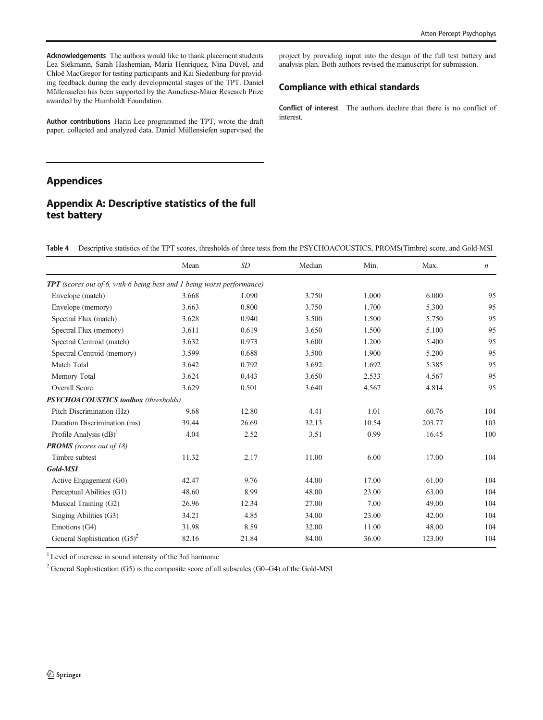<span id="page-13-0"></span>Acknowledgements The authors would like to thank placement students Lea Siekmann, Sarah Hashemian, Maria Henriquez, Nina Düvel, and Chloë MacGregor for testing participants and Kai Siedenburg for providing feedback during the early developmental stages of the TPT. Daniel Müllensiefen has been supported by the Anneliese-Maier Research Prize awarded by the Humboldt Foundation.

Author contributions Harin Lee programmed the TPT, wrote the draft paper, collected and analyzed data. Daniel Müllensiefen supervised the

# Appendices

# Appendix A: Descriptive statistics of the full test battery

project by providing input into the design of the full test battery and analysis plan. Both authors revised the manuscript for submission.

# Compliance with ethical standards

Conflict of interest The authors declare that there is no conflict of interest.

Table 4 Descriptive statistics of the TPT scores, thresholds of three tests from the PSYCHOACOUSTICS, PROMS(Timbre) score, and Gold-MSI

|                                                                        | Mean  | <b>SD</b> | Median | Min.  | Max.   | $\boldsymbol{n}$ |
|------------------------------------------------------------------------|-------|-----------|--------|-------|--------|------------------|
| TPT (scores out of 6, with 6 being best and 1 being worst performance) |       |           |        |       |        |                  |
| Envelope (match)                                                       | 3.668 | 1.090     | 3.750  | 1.000 | 6.000  | 95               |
| Envelope (memory)                                                      | 3.663 | 0.800     | 3.750  | 1.700 | 5.300  | 95               |
| Spectral Flux (match)                                                  | 3.628 | 0.940     | 3.500  | 1.500 | 5.750  | 95               |
| Spectral Flux (memory)                                                 | 3.611 | 0.619     | 3.650  | 1.500 | 5.100  | 95               |
| Spectral Centroid (match)                                              | 3.632 | 0.973     | 3.600  | 1.200 | 5.400  | 95               |
| Spectral Centroid (memory)                                             | 3.599 | 0.688     | 3.500  | 1.900 | 5.200  | 95               |
| Match Total                                                            | 3.642 | 0.792     | 3.692  | 1.692 | 5.385  | 95               |
| Memory Total                                                           | 3.624 | 0.443     | 3.650  | 2.533 | 4.567  | 95               |
| <b>Overall Score</b>                                                   | 3.629 | 0.501     | 3.640  | 4.567 | 4.814  | 95               |
| <b>PSYCHOACOUSTICS toolbox (thresholds)</b>                            |       |           |        |       |        |                  |
| Pitch Discrimination (Hz)                                              | 9.68  | 12.80     | 4.41   | 1.01  | 60.76  | 104              |
| Duration Discrimination (ms)                                           | 39.44 | 26.69     | 32.13  | 10.54 | 203.77 | 103              |
| Profile Analysis $(dB)^1$                                              | 4.04  | 2.52      | 3.51   | 0.99  | 16.45  | 100              |
| <b>PROMS</b> (scores out of 18)                                        |       |           |        |       |        |                  |
| Timbre subtest                                                         | 11.32 | 2.17      | 11.00  | 6.00  | 17.00  | 104              |
| <b>Gold-MSI</b>                                                        |       |           |        |       |        |                  |
| Active Engagement (G0)                                                 | 42.47 | 9.76      | 44.00  | 17.00 | 61.00  | 104              |
| Perceptual Abilities (G1)                                              | 48.60 | 8.99      | 48.00  | 23.00 | 63.00  | 104              |
| Musical Training (G2)                                                  | 26.96 | 12.34     | 27.00  | 7.00  | 49.00  | 104              |
| Singing Abilities (G3)                                                 | 34.21 | 4.85      | 34.00  | 23.00 | 42.00  | 104              |
| Emotions (G4)                                                          | 31.98 | 8.59      | 32.00  | 11.00 | 48.00  | 104              |
| General Sophistication $(G5)^2$                                        | 82.16 | 21.84     | 84.00  | 36.00 | 123.00 | 104              |

<sup>1</sup> Level of increase in sound intensity of the 3rd harmonic

<sup>2</sup> General Sophistication (G5) is the composite score of all subscales (G0–G4) of the Gold-MSI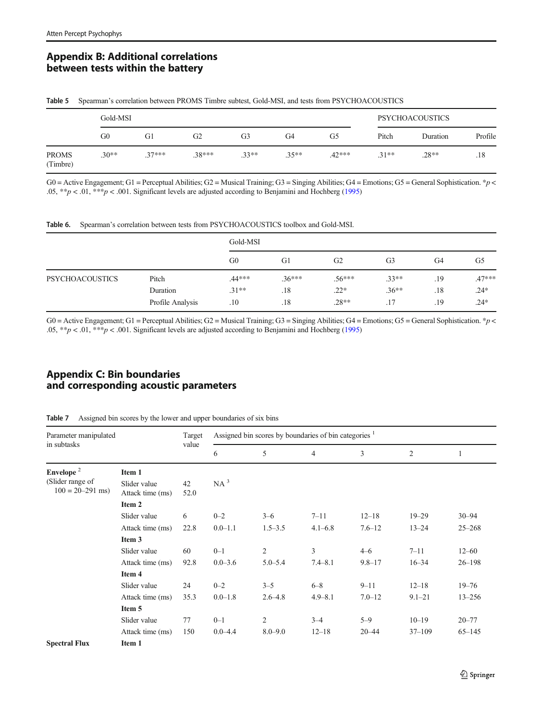# <span id="page-14-0"></span>Appendix B: Additional correlations between tests within the battery

| . .                     |                |                |                |                |         |          |         |                        |         |
|-------------------------|----------------|----------------|----------------|----------------|---------|----------|---------|------------------------|---------|
|                         | Gold-MSI       |                |                |                |         |          |         | <b>PSYCHOACOUSTICS</b> |         |
|                         | G <sub>0</sub> | G <sub>1</sub> | G <sub>2</sub> | G <sub>3</sub> | G4      | G5       | Pitch   | Duration               | Profile |
| <b>PROMS</b><br>Timbre) | $.30**$        | $37***$        | $.38***$       | $.33**$        | $.35**$ | $.42***$ | $.31**$ | $.28**$                | .18     |

Table 5 Spearman's correlation between PROMS Timbre subtest, Gold-MSI, and tests from PSYCHOACOUSTICS

G0 = Active Engagement; G1 = Perceptual Abilities; G2 = Musical Training; G3 = Singing Abilities; G4 = Emotions; G5 = General Sophistication.  $*_p$  < .05, \*\*p < .01, \*\*\*p < .001. Significant levels are adjusted according to Benjamini and Hochberg ([1995](#page-15-0))

| Table 6. Spearman's correlation between tests from PSYCHOACOUSTICS toolbox and Gold-MSI. |
|------------------------------------------------------------------------------------------|
|------------------------------------------------------------------------------------------|

|                        |                  | Gold-MSI       |          |                |                |     |                |  |  |
|------------------------|------------------|----------------|----------|----------------|----------------|-----|----------------|--|--|
|                        |                  | G <sub>0</sub> | G1       | G <sub>2</sub> | G <sub>3</sub> | G4  | G <sub>5</sub> |  |  |
| <b>PSYCHOACOUSTICS</b> | Pitch            | $.44***$       | $.36***$ | $.56***$       | $.33**$        | .19 | $.47***$       |  |  |
|                        | Duration         | $.31**$        | .18      | $.22*$         | $.36**$        | .18 | $.24*$         |  |  |
|                        | Profile Analysis | .10            | .18      | $.28**$        | .17            | .19 | $.24*$         |  |  |

G0 = Active Engagement; G1 = Perceptual Abilities; G2 = Musical Training; G3 = Singing Abilities; G4 = Emotions; G5 = General Sophistication.  $*_p$  < .05, \*\*p < .01, \*\*\*p < .001. Significant levels are adjusted according to Benjamini and Hochberg ([1995](#page-15-0))

# Appendix C: Bin boundaries and corresponding acoustic parameters

| Table 7 |  |  | Assigned bin scores by the lower and upper boundaries of six bins |  |
|---------|--|--|-------------------------------------------------------------------|--|
|---------|--|--|-------------------------------------------------------------------|--|

| Parameter manipulated<br>in subtasks                              |                                                      | Target     | Assigned bin scores by boundaries of bin categories <sup>1</sup> |                               |                         |                         |                         |                         |  |
|-------------------------------------------------------------------|------------------------------------------------------|------------|------------------------------------------------------------------|-------------------------------|-------------------------|-------------------------|-------------------------|-------------------------|--|
|                                                                   |                                                      | value      | 6                                                                | 5                             | $\overline{4}$          | 3                       | $\overline{2}$          |                         |  |
| Envelope <sup>2</sup><br>(Slider range of<br>$100 = 20 - 291$ ms) | Item 1<br>Slider value<br>Attack time (ms)<br>Item 2 | 42<br>52.0 | NA <sup>3</sup>                                                  |                               |                         |                         |                         |                         |  |
|                                                                   | Slider value<br>Attack time (ms)                     | 6<br>22.8  | $0 - 2$<br>$0.0 - 1.1$                                           | $3 - 6$<br>$1.5 - 3.5$        | $7 - 11$<br>$4.1 - 6.8$ | $12 - 18$<br>$7.6 - 12$ | $19 - 29$<br>$13 - 24$  | $30 - 94$<br>$25 - 268$ |  |
|                                                                   | Item 3<br>Slider value<br>Attack time (ms)           | 60<br>92.8 | $0 - 1$<br>$0.0 - 3.6$                                           | 2<br>$5.0 - 5.4$              | 3<br>$7.4 - 8.1$        | $4 - 6$<br>$9.8 - 17$   | $7 - 11$<br>$16 - 34$   | $12 - 60$<br>$26 - 198$ |  |
|                                                                   | Item 4<br>Slider value<br>Attack time (ms)           | 24<br>35.3 | $0 - 2$<br>$0.0 - 1.8$                                           | $3 - 5$<br>$2.6 - 4.8$        | $6 - 8$<br>$4.9 - 8.1$  | $9 - 11$<br>$7.0 - 12$  | $12 - 18$<br>$9.1 - 21$ | $19 - 76$<br>$13 - 256$ |  |
| <b>Spectral Flux</b>                                              | Item 5<br>Slider value<br>Attack time (ms)<br>Item 1 | 77<br>150  | $0 - 1$<br>$0.0 - 4.4$                                           | $\overline{2}$<br>$8.0 - 9.0$ | $3 - 4$<br>$12 - 18$    | $5 - 9$<br>$20 - 44$    | $10 - 19$<br>$37 - 109$ | $20 - 77$<br>$65 - 145$ |  |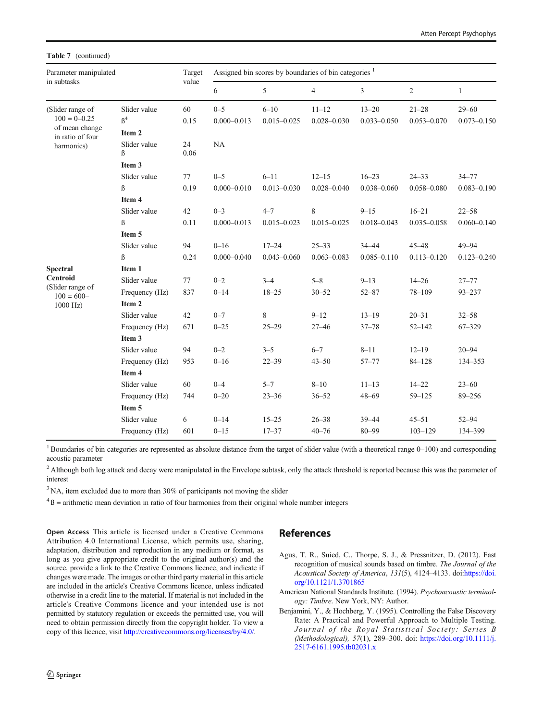#### <span id="page-15-0"></span>Table 7 (continued)

| Parameter manipulated                                                      | Target                         | Assigned bin scores by boundaries of bin categories <sup>1</sup> |                            |                             |                              |                              |                              |                              |
|----------------------------------------------------------------------------|--------------------------------|------------------------------------------------------------------|----------------------------|-----------------------------|------------------------------|------------------------------|------------------------------|------------------------------|
| in subtasks                                                                | value                          | 6                                                                | 5                          | $\overline{4}$              | 3                            | 2                            | $\mathbf{1}$                 |                              |
| (Slider range of<br>$100 = 0 - 0.25$<br>of mean change<br>in ratio of four | Slider value<br>B <sup>4</sup> | 60<br>0.15                                                       | $0 - 5$<br>$0.000 - 0.013$ | $6 - 10$<br>$0.015 - 0.025$ | $11 - 12$<br>$0.028 - 0.030$ | $13 - 20$<br>$0.033 - 0.050$ | $21 - 28$<br>$0.053 - 0.070$ | $29 - 60$<br>$0.073 - 0.150$ |
|                                                                            | Item 2                         |                                                                  |                            |                             |                              |                              |                              |                              |
| harmonics)                                                                 | Slider value<br>$\beta$        | 24<br>0.06                                                       | NA                         |                             |                              |                              |                              |                              |
|                                                                            | Item 3                         |                                                                  |                            |                             |                              |                              |                              |                              |
|                                                                            | Slider value                   | 77                                                               | $0 - 5$                    | $6 - 11$                    | $12 - 15$                    | $16 - 23$                    | $24 - 33$                    | $34 - 77$                    |
|                                                                            | $\beta$                        | 0.19                                                             | $0.000 - 0.010$            | $0.013 - 0.030$             | $0.028 - 0.040$              | $0.038 - 0.060$              | $0.058 - 0.080$              | $0.083 - 0.190$              |
|                                                                            | Item 4                         |                                                                  |                            |                             |                              |                              |                              |                              |
|                                                                            | Slider value                   | 42                                                               | $0 - 3$                    | $4 - 7$                     | 8                            | $9 - 15$                     | $16 - 21$                    | $22 - 58$                    |
|                                                                            | $\boldsymbol{\beta}$           | 0.11                                                             | $0.000 - 0.013$            | $0.015 - 0.023$             | $0.015 - 0.025$              | $0.018 - 0.043$              | $0.035 - 0.058$              | $0.060 - 0.140$              |
|                                                                            | Item 5                         |                                                                  |                            |                             |                              |                              |                              |                              |
|                                                                            | Slider value                   | 94                                                               | $0 - 16$                   | $17 - 24$                   | $25 - 33$                    | 34 - 44                      | $45 - 48$                    | 49-94                        |
|                                                                            | $\beta$                        | 0.24                                                             | $0.000 - 0.040$            | $0.043 - 0.060$             | $0.063 - 0.083$              | $0.085 - 0.110$              | $0.113 - 0.120$              | $0.123 - 0.240$              |
| <b>Spectral</b>                                                            | Item 1                         |                                                                  |                            |                             |                              |                              |                              |                              |
| Centroid                                                                   | Slider value                   | 77                                                               | $0 - 2$                    | $3 - 4$                     | $5 - 8$                      | $9 - 13$                     | $14 - 26$                    | $27 - 77$                    |
| (Slider range of<br>$100 = 600 -$                                          | Frequency (Hz)                 | 837                                                              | $0 - 14$                   | $18 - 25$                   | $30 - 52$                    | $52 - 87$                    | 78-109                       | $93 - 237$                   |
| $1000$ Hz)                                                                 | Item 2                         |                                                                  |                            |                             |                              |                              |                              |                              |
|                                                                            | Slider value                   | 42                                                               | $0 - 7$                    | 8                           | $9 - 12$                     | $13 - 19$                    | $20 - 31$                    | $32 - 58$                    |
|                                                                            | Frequency (Hz)                 | 671                                                              | $0 - 25$                   | $25 - 29$                   | $27 - 46$                    | $37 - 78$                    | $52 - 142$                   | $67 - 329$                   |
|                                                                            | Item 3                         |                                                                  |                            |                             |                              |                              |                              |                              |
|                                                                            | Slider value                   | 94                                                               | $0 - 2$                    | $3 - 5$                     | $6 - 7$                      | $8 - 11$                     | $12 - 19$                    | $20 - 94$                    |
|                                                                            | Frequency (Hz)                 | 953                                                              | $0 - 16$                   | $22 - 39$                   | $43 - 50$                    | $57 - 77$                    | $84 - 128$                   | 134-353                      |
|                                                                            | Item 4                         |                                                                  |                            |                             |                              |                              |                              |                              |
|                                                                            | Slider value                   | 60                                                               | $0 - 4$                    | $5 - 7$                     | $8 - 10$                     | $11 - 13$                    | $14 - 22$                    | $23 - 60$                    |
|                                                                            | Frequency (Hz)                 | 744                                                              | $0 - 20$                   | $23 - 36$                   | $36 - 52$                    | $48 - 69$                    | 59-125                       | 89-256                       |
|                                                                            | Item 5                         |                                                                  |                            |                             |                              |                              |                              |                              |
|                                                                            | Slider value                   | 6                                                                | $0 - 14$                   | $15 - 25$                   | $26 - 38$                    | 39-44                        | $45 - 51$                    | $52 - 94$                    |
|                                                                            | Frequency (Hz)                 | 601                                                              | $0 - 15$                   | $17 - 37$                   | $40 - 76$                    | 80-99                        | $103 - 129$                  | 134-399                      |

<sup>1</sup> Boundaries of bin categories are represented as absolute distance from the target of slider value (with a theoretical range  $0-100$ ) and corresponding acoustic parameter

<sup>2</sup> Although both log attack and decay were manipulated in the Envelope subtask, only the attack threshold is reported because this was the parameter of interest

<sup>3</sup> NA, item excluded due to more than 30% of participants not moving the slider

 $4 B =$  arithmetic mean deviation in ratio of four harmonics from their original whole number integers

Open Access This article is licensed under a Creative Commons Attribution 4.0 International License, which permits use, sharing, adaptation, distribution and reproduction in any medium or format, as long as you give appropriate credit to the original author(s) and the source, provide a link to the Creative Commons licence, and indicate if changes were made. The images or other third party material in this article are included in the article's Creative Commons licence, unless indicated otherwise in a credit line to the material. If material is not included in the article's Creative Commons licence and your intended use is not permitted by statutory regulation or exceeds the permitted use, you will need to obtain permission directly from the copyright holder. To view a copy of this licence, visit [http://creativecommons.org/licenses/by/4.0/.](http://creativecommons.org/licenses/by/4.0/)

#### References

- Agus, T. R., Suied, C., Thorpe, S. J., & Pressnitzer, D. (2012). Fast recognition of musical sounds based on timbre. The Journal of the Acoustical Society of America, 131(5), 4124–4133. doi[:https://doi.](https://doi.org/10.1121/1.3701865) [org/10.1121/1.3701865](https://doi.org/10.1121/1.3701865)
- American National Standards Institute. (1994). Psychoacoustic terminology: Timbre. New York, NY: Author.
- Benjamini, Y., & Hochberg, Y. (1995). Controlling the False Discovery Rate: A Practical and Powerful Approach to Multiple Testing. Journal of the Royal Statistical Society: Series B (Methodological), 57(1), 289–300. doi: [https://doi.org/10.1111/j.](https://doi.org/10.1111/j.2517-6161.1995.tb02031.x) [2517-6161.1995.tb02031.x](https://doi.org/10.1111/j.2517-6161.1995.tb02031.x)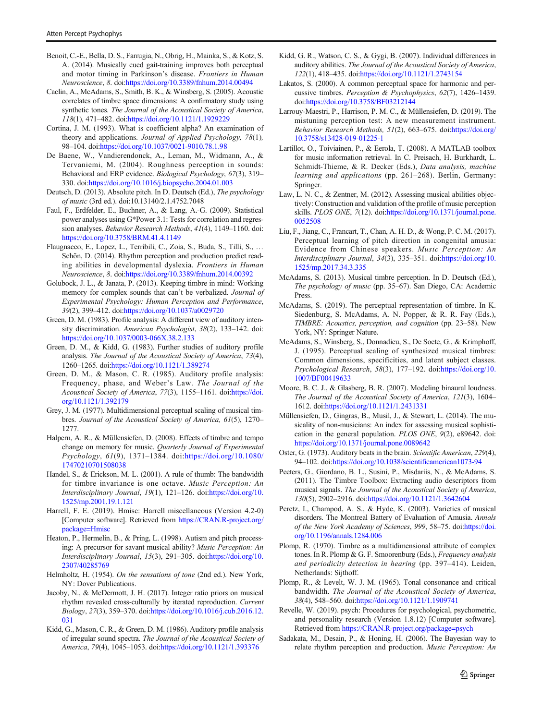- <span id="page-16-0"></span>Benoit, C.-E., Bella, D. S., Farrugia, N., Obrig, H., Mainka, S., & Kotz, S. A. (2014). Musically cued gait-training improves both perceptual and motor timing in Parkinson's disease. Frontiers in Human Neuroscience, 8. doi[:https://doi.org/10.3389/fnhum.2014.00494](https://doi.org/10.3389/fnhum.2014.00494)
- Caclin, A., McAdams, S., Smith, B. K., & Winsberg, S. (2005). Acoustic correlates of timbre space dimensions: A confirmatory study using synthetic tones. The Journal of the Acoustical Society of America, 118(1), 471–482. doi[:https://doi.org/10.1121/1.1929229](https://doi.org/10.1121/1.1929229)
- Cortina, J. M. (1993). What is coefficient alpha? An examination of theory and applications. Journal of Applied Psychology, 78(1), 98–104. doi:<https://doi.org/10.1037/0021-9010.78.1.98>
- De Baene, W., Vandierendonck, A., Leman, M., Widmann, A., & Tervaniemi, M. (2004). Roughness perception in sounds: Behavioral and ERP evidence. Biological Psychology, 67(3), 319– 330. doi[:https://doi.org/10.1016/j.biopsycho.2004.01.003](http://creativecommons.org/licenses/by/4.0/)
- Deutsch, D. (2013). Absolute pitch. In D. Deutsch (Ed.), The psychology of music (3rd ed.). doi:10.13140/2.1.4752.7048
- Faul, F., Erdfelder, E., Buchner, A., & Lang, A.-G. (2009). Statistical power analyses using G\*Power 3.1: Tests for correlation and regression analyses. Behavior Research Methods, 41(4), 1149–1160. doi: [https://doi.org/10.3758/BRM.41.4.1149](https://doi.org/10.1111/j.2517-6161.1995.tb02031.x)
- Flaugnacco, E., Lopez, L., Terribili, C., Zoia, S., Buda, S., Tilli, S., … Schön, D. (2014). Rhythm perception and production predict reading abilities in developmental dyslexia. Frontiers in Human Neuroscience, 8. doi[:https://doi.org/10.3389/fnhum.2014.00392](https://doi.org/10.3389/fnhum.2014.00392)
- Golubock, J. L., & Janata, P. (2013). Keeping timbre in mind: Working memory for complex sounds that can't be verbalized. Journal of Experimental Psychology: Human Perception and Performance, 39(2), 399–412. doi[:https://doi.org/10.1037/a0029720](https://doi.org/10.1037/a0029720)
- Green, D. M. (1983). Profile analysis: A different view of auditory intensity discrimination. American Psychologist, 38(2), 133–142. doi: <https://doi.org/10.1037/0003-066X.38.2.133>
- Green, D. M., & Kidd, G. (1983). Further studies of auditory profile analysis. The Journal of the Acoustical Society of America, 73(4), 1260–1265. doi[:https://doi.org/10.1121/1.389274](https://doi.org/10.1121/1.389274)
- Green, D. M., & Mason, C. R. (1985). Auditory profile analysis: Frequency, phase, and Weber's Law. The Journal of the Acoustical Society of America, 77(3), 1155-1161. doi:[https://doi.](https://doi.org/10.1121/1.392179) [org/10.1121/1.392179](https://doi.org/10.1121/1.392179)
- Grey, J. M. (1977). Multidimensional perceptual scaling of musical timbres. Journal of the Acoustical Society of America, 61(5), 1270– 1277.
- Halpern, A. R., & Müllensiefen, D. (2008). Effects of timbre and tempo change on memory for music. Quarterly Journal of Experimental Psychology, 61(9), 1371–1384. doi:[https://doi.org/10.1080/](https://doi.org/10.1080/17470210701508038) [17470210701508038](https://doi.org/10.1080/17470210701508038)
- Handel, S., & Erickson, M. L. (2001). A rule of thumb: The bandwidth for timbre invariance is one octave. Music Perception: An Interdisciplinary Journal, 19(1), 121–126. doi[:https://doi.org/10.](https://doi.org/10.1525/mp.2001.19.1.121) [1525/mp.2001.19.1.121](https://doi.org/10.1525/mp.2001.19.1.121)
- Harrell, F. E. (2019). Hmisc: Harrell miscellaneous (Version 4.2-0) [Computer software]. Retrieved from [https://CRAN.R-project.org/](http://creativecommons.org/licenses/by/4.0/) [package=Hmisc](http://creativecommons.org/licenses/by/4.0/)
- Heaton, P., Hermelin, B., & Pring, L. (1998). Autism and pitch processing: A precursor for savant musical ability? Music Perception: An Interdisciplinary Journal, 15(3), 291–305. doi[:https://doi.org/10.](https://doi.org/10.2307/40285769) [2307/40285769](https://doi.org/10.2307/40285769)
- Helmholtz, H. (1954). On the sensations of tone (2nd ed.). New York, NY: Dover Publications.
- Jacoby, N., & McDermott, J. H. (2017). Integer ratio priors on musical rhythm revealed cross-culturally by iterated reproduction. Current Biology, 27(3), 359–370. doi[:https://doi.org/10.1016/j.cub.2016.12.](https://doi.org/10.1016/j.cub.2016.12.031) [031](https://doi.org/10.1016/j.cub.2016.12.031)
- Kidd, G., Mason, C. R., & Green, D. M. (1986). Auditory profile analysis of irregular sound spectra. The Journal of the Acoustical Society of America, 79(4), 1045–1053. doi[:https://doi.org/10.1121/1.393376](https://doi.org/10.1121/1.393376)
- Kidd, G. R., Watson, C. S., & Gygi, B. (2007). Individual differences in auditory abilities. The Journal of the Acoustical Society of America, 122(1), 418–435. doi[:https://doi.org/10.1121/1.2743154](https://doi.org/10.1121/1.2743154)
- Lakatos, S. (2000). A common perceptual space for harmonic and percussive timbres. Perception & Psychophysics, 62(7), 1426–1439. doi:<https://doi.org/10.3758/BF03212144>
- Larrouy-Maestri, P., Harrison, P. M. C., & Müllensiefen, D. (2019). The mistuning perception test: A new measurement instrument. Behavior Research Methods, 51(2), 663-675. doi[:https://doi.org/](https://doi.org/10.3758/s13428-019-01225-1) [10.3758/s13428-019-01225-1](https://doi.org/10.3758/s13428-019-01225-1)
- Lartillot, O., Toiviainen, P., & Eerola, T. (2008). A MATLAB toolbox for music information retrieval. In C. Preisach, H. Burkhardt, L. Schmidt-Thieme, & R. Decker (Eds.), Data analysis, machine learning and applications (pp. 261–268). Berlin, Germany: Springer.
- Law, L. N. C., & Zentner, M. (2012). Assessing musical abilities objectively: Construction and validation of the profile of music perception skills. PLOS ONE, 7(12). doi[:https://doi.org/10.1371/journal.pone.](https://doi.org/10.1371/journal.pone.0052508) [0052508](https://doi.org/10.1371/journal.pone.0052508)
- Liu, F., Jiang, C., Francart, T., Chan, A. H. D., & Wong, P. C. M. (2017). Perceptual learning of pitch direction in congenital amusia: Evidence from Chinese speakers. Music Perception: An Interdisciplinary Journal, 34(3), 335–351. doi:[https://doi.org/10.](https://doi.org/10.1525/mp.2017.34.3.335) [1525/mp.2017.34.3.335](https://doi.org/10.1525/mp.2017.34.3.335)
- McAdams, S. (2013). Musical timbre perception. In D. Deutsch (Ed.), The psychology of music (pp. 35–67). San Diego, CA: Academic Press.
- McAdams, S. (2019). The perceptual representation of timbre. In K. Siedenburg, S. McAdams, A. N. Popper, & R. R. Fay (Eds.), TIMBRE: Acoustics, perception, and cognition (pp. 23–58). New York, NY: Springer Nature.
- McAdams, S., Winsberg, S., Donnadieu, S., De Soete, G., & Krimphoff, J. (1995). Perceptual scaling of synthesized musical timbres: Common dimensions, specificities, and latent subject classes. Psychological Research, 58(3), 177–192. doi[:https://doi.org/10.](https://doi.org/10.1007/BF00419633) [1007/BF00419633](https://doi.org/10.1007/BF00419633)
- Moore, B. C. J., & Glasberg, B. R. (2007). Modeling binaural loudness. The Journal of the Acoustical Society of America, 121(3), 1604– 1612. doi:<https://doi.org/10.1121/1.2431331>
- Müllensiefen, D., Gingras, B., Musil, J., & Stewart, L. (2014). The musicality of non-musicians: An index for assessing musical sophistication in the general population. PLOS ONE, 9(2), e89642. doi: <https://doi.org/10.1371/journal.pone.0089642>
- Oster, G. (1973). Auditory beats in the brain. Scientific American, 229(4), 94–102. doi[:https://doi.org/10.1038/scientificamerican1073-94](https://doi.org/10.1038/scientificamerican1073-94)
- Peeters, G., Giordano, B. L., Susini, P., Misdariis, N., & McAdams, S. (2011). The Timbre Toolbox: Extracting audio descriptors from musical signals. The Journal of the Acoustical Society of America, 130(5), 2902–2916. doi[:https://doi.org/10.1121/1.3642604](https://doi.org/10.1121/1.3642604)
- Peretz, I., Champod, A. S., & Hyde, K. (2003). Varieties of musical disorders. The Montreal Battery of Evaluation of Amusia. Annals of the New York Academy of Sciences, 999, 58–75. doi[:https://doi.](https://doi.org/10.1196/annals.1284.006) [org/10.1196/annals.1284.006](https://doi.org/10.1196/annals.1284.006)
- Plomp, R. (1970). Timbre as a multidimensional attribute of complex tones. In R. Plomp & G. F. Smoorenburg (Eds.), Frequency analysis and periodicity detection in hearing (pp. 397–414). Leiden, Netherlands: Sijthoff.
- Plomp, R., & Levelt, W. J. M. (1965). Tonal consonance and critical bandwidth. The Journal of the Acoustical Society of America, 38(4), 548–560. doi[:https://doi.org/10.1121/1.1909741](https://doi.org/10.1121/1.1909741)
- Revelle, W. (2019). psych: Procedures for psychological, psychometric, and personality research (Version 1.8.12) [Computer software]. Retrieved from [https://CRAN.R-project.org/package=psych](http://creativecommons.org/licenses/by/4.0/)
- Sadakata, M., Desain, P., & Honing, H. (2006). The Bayesian way to relate rhythm perception and production. Music Perception: An